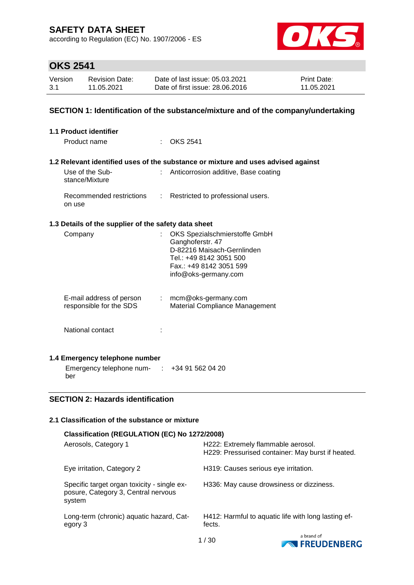according to Regulation (EC) No. 1907/2006 - ES



### **OKS 2541**

| Version | <b>Revision Date:</b> | Date of last issue: 05.03.2021  | <b>Print Date:</b> |
|---------|-----------------------|---------------------------------|--------------------|
| 3.1     | 11.05.2021            | Date of first issue: 28,06,2016 | 11.05.2021         |

#### **SECTION 1: Identification of the substance/mixture and of the company/undertaking**

| 1.1 Product identifier                                        |                                                                                                                                                              |
|---------------------------------------------------------------|--------------------------------------------------------------------------------------------------------------------------------------------------------------|
| Product name                                                  | <b>OKS 2541</b>                                                                                                                                              |
|                                                               |                                                                                                                                                              |
|                                                               | 1.2 Relevant identified uses of the substance or mixture and uses advised against                                                                            |
| Use of the Sub-<br>stance/Mixture                             | Anticorrosion additive, Base coating                                                                                                                         |
| on use                                                        | Recommended restrictions : Restricted to professional users.                                                                                                 |
| 1.3 Details of the supplier of the safety data sheet          |                                                                                                                                                              |
| Company                                                       | OKS Spezialschmierstoffe GmbH<br>Ganghoferstr. 47<br>D-82216 Maisach-Gernlinden<br>Tel.: +49 8142 3051 500<br>Fax: +49 8142 3051 599<br>info@oks-germany.com |
| E-mail address of person<br>responsible for the SDS           | $:$ mcm@oks-germany.com<br>Material Compliance Management                                                                                                    |
| National contact                                              |                                                                                                                                                              |
| 1.4 Emergency telephone number                                |                                                                                                                                                              |
| Emergency telephone num- $\therefore$ +34 91 562 04 20<br>ber |                                                                                                                                                              |

### **SECTION 2: Hazards identification**

#### **2.1 Classification of the substance or mixture**

| Classification (REGULATION (EC) No 1272/2008)                                                |                                                                                         |
|----------------------------------------------------------------------------------------------|-----------------------------------------------------------------------------------------|
| Aerosols, Category 1                                                                         | H222: Extremely flammable aerosol.<br>H229: Pressurised container: May burst if heated. |
| Eye irritation, Category 2                                                                   | H319: Causes serious eye irritation.                                                    |
| Specific target organ toxicity - single ex-<br>posure, Category 3, Central nervous<br>system | H336: May cause drowsiness or dizziness.                                                |
| Long-term (chronic) aquatic hazard, Cat-<br>egory 3                                          | H412: Harmful to aquatic life with long lasting ef-<br>fects.                           |
|                                                                                              | a brand of                                                                              |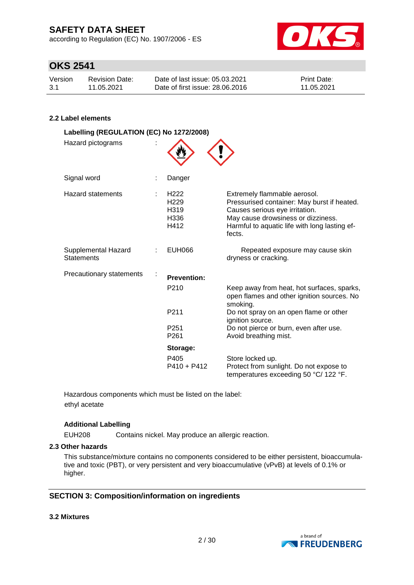according to Regulation (EC) No. 1907/2006 - ES



### **OKS 2541**

| Version | Revision Date: | Date of last issue: 05.03.2021  | <b>Print Date:</b> |
|---------|----------------|---------------------------------|--------------------|
| 3.1     | 11.05.2021     | Date of first issue: 28,06,2016 | 11.05.2021         |

#### **2.2 Label elements**

| Labelling (REGULATION (EC) No 1272/2008)<br>Hazard pictograms |                                                              |                                                                                                                                                                                                                |
|---------------------------------------------------------------|--------------------------------------------------------------|----------------------------------------------------------------------------------------------------------------------------------------------------------------------------------------------------------------|
| Signal word                                                   | Danger                                                       |                                                                                                                                                                                                                |
| <b>Hazard statements</b>                                      | H <sub>222</sub><br>H <sub>229</sub><br>H319<br>H336<br>H412 | Extremely flammable aerosol.<br>Pressurised container: May burst if heated.<br>Causes serious eye irritation.<br>May cause drowsiness or dizziness.<br>Harmful to aquatic life with long lasting ef-<br>fects. |
| Supplemental Hazard<br><b>Statements</b>                      | <b>EUH066</b>                                                | Repeated exposure may cause skin<br>dryness or cracking.                                                                                                                                                       |
| Precautionary statements                                      | <b>Prevention:</b><br>P210                                   | Keep away from heat, hot surfaces, sparks,                                                                                                                                                                     |
|                                                               |                                                              | open flames and other ignition sources. No<br>smoking.                                                                                                                                                         |
|                                                               | P211                                                         | Do not spray on an open flame or other<br>ignition source.                                                                                                                                                     |
|                                                               | P <sub>251</sub><br>P <sub>261</sub>                         | Do not pierce or burn, even after use.<br>Avoid breathing mist.                                                                                                                                                |
|                                                               | Storage:                                                     |                                                                                                                                                                                                                |
|                                                               | P405<br>$P410 + P412$                                        | Store locked up.<br>Protect from sunlight. Do not expose to<br>temperatures exceeding 50 °C/ 122 °F.                                                                                                           |

Hazardous components which must be listed on the label: ethyl acetate

#### **Additional Labelling**

EUH208 Contains nickel. May produce an allergic reaction.

#### **2.3 Other hazards**

This substance/mixture contains no components considered to be either persistent, bioaccumulative and toxic (PBT), or very persistent and very bioaccumulative (vPvB) at levels of 0.1% or higher.

#### **SECTION 3: Composition/information on ingredients**

#### **3.2 Mixtures**

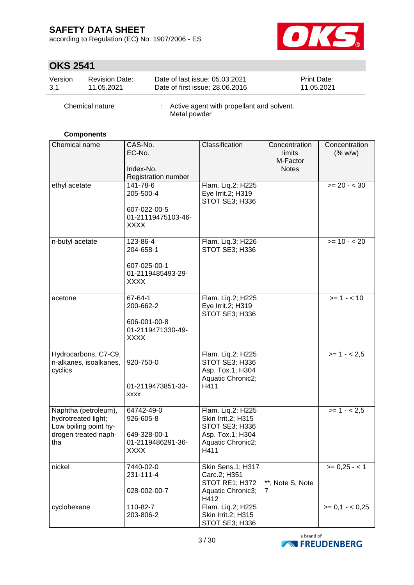according to Regulation (EC) No. 1907/2006 - ES



### **OKS 2541**

| Version | <b>Revision Date:</b> | Date of last issue: 05.03.2021  | <b>Print Date:</b> |
|---------|-----------------------|---------------------------------|--------------------|
| - 3.1   | 11.05.2021            | Date of first issue: 28,06,2016 | 11.05.2021         |

| Chemical nature | Active agent with propellant and solvent.<br>Metal powder |
|-----------------|-----------------------------------------------------------|
|                 |                                                           |

#### **Components**

| Chemical name                                                                                       | CAS-No.<br>EC-No.<br>Index-No.<br>Registration number                       | Classification                                                                                             | Concentration<br>limits<br>M-Factor<br><b>Notes</b> | Concentration<br>(% w/w) |
|-----------------------------------------------------------------------------------------------------|-----------------------------------------------------------------------------|------------------------------------------------------------------------------------------------------------|-----------------------------------------------------|--------------------------|
| ethyl acetate                                                                                       | 141-78-6<br>205-500-4<br>607-022-00-5<br>01-21119475103-46-<br><b>XXXX</b>  | Flam. Liq.2; H225<br>Eye Irrit.2; H319<br>STOT SE3; H336                                                   |                                                     | $>= 20 - 30$             |
| n-butyl acetate                                                                                     | 123-86-4<br>204-658-1<br>607-025-00-1<br>01-2119485493-29-<br><b>XXXX</b>   | Flam. Liq.3; H226<br><b>STOT SE3; H336</b>                                                                 |                                                     | $>= 10 - 20$             |
| acetone                                                                                             | 67-64-1<br>200-662-2<br>606-001-00-8<br>01-2119471330-49-<br><b>XXXX</b>    | Flam. Liq.2; H225<br>Eye Irrit.2; H319<br>STOT SE3; H336                                                   |                                                     | $>= 1 - 10$              |
| Hydrocarbons, C7-C9,<br>n-alkanes, isoalkanes,<br>cyclics                                           | 920-750-0<br>01-2119473851-33-<br><b>XXXX</b>                               | Flam. Liq.2; H225<br>STOT SE3; H336<br>Asp. Tox.1; H304<br>Aquatic Chronic2;<br>H411                       |                                                     | $>= 1 - 2.5$             |
| Naphtha (petroleum),<br>hydrotreated light;<br>Low boiling point hy-<br>drogen treated naph-<br>tha | 64742-49-0<br>926-605-8<br>649-328-00-1<br>01-2119486291-36-<br><b>XXXX</b> | Flam. Liq.2; H225<br>Skin Irrit.2; H315<br>STOT SE3; H336<br>Asp. Tox.1; H304<br>Aquatic Chronic2;<br>H411 |                                                     | $>= 1 - 2.5$             |
| nickel                                                                                              | 7440-02-0<br>231-111-4<br>028-002-00-7                                      | Skin Sens.1; H317<br>Carc.2; H351<br>STOT RE1; H372<br>Aquatic Chronic3;<br>H412                           | **, Note S, Note<br>7                               | $>= 0,25 - 1$            |
| cyclohexane                                                                                         | 110-82-7<br>203-806-2                                                       | Flam. Liq.2; H225<br>Skin Irrit.2; H315<br>STOT SE3; H336                                                  |                                                     | $>= 0.1 - 0.25$          |

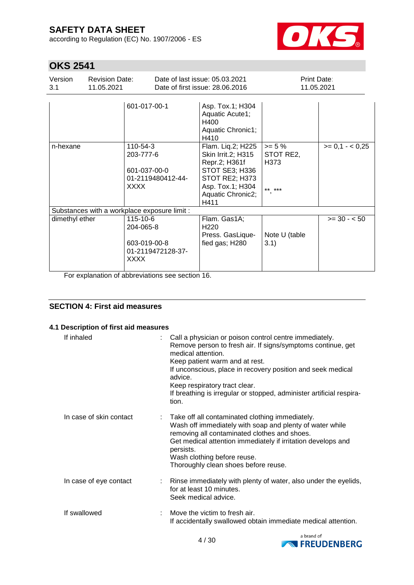according to Regulation (EC) No. 1907/2006 - ES



# **OKS 2541**

| Version<br>3.1 | <b>Revision Date:</b><br>11.05.2021          |                                                      |                   | Date of last issue: 05.03.2021<br>Date of first issue: 28,06,2016                                                                             |                                          | Print Date:<br>11.05.2021 |
|----------------|----------------------------------------------|------------------------------------------------------|-------------------|-----------------------------------------------------------------------------------------------------------------------------------------------|------------------------------------------|---------------------------|
|                |                                              | 601-017-00-1                                         |                   | Asp. Tox.1; H304<br>Aquatic Acute1;<br>H400<br>Aquatic Chronic1;<br>H410                                                                      |                                          |                           |
| n-hexane       |                                              | 110-54-3<br>203-777-6<br>601-037-00-0<br><b>XXXX</b> | 01-2119480412-44- | Flam. Liq.2; H225<br>Skin Irrit.2; H315<br>Repr.2; H361f<br>STOT SE3; H336<br>STOT RE2; H373<br>Asp. Tox.1; H304<br>Aquatic Chronic2;<br>H411 | $>= 5 \%$<br>STOT RE2,<br>H373<br>** *** | $>= 0.1 - 0.25$           |
|                | Substances with a workplace exposure limit : |                                                      |                   |                                                                                                                                               |                                          |                           |
| dimethyl ether |                                              | 115-10-6<br>204-065-8<br>603-019-00-8<br><b>XXXX</b> | 01-2119472128-37- | Flam. Gas1A;<br>H <sub>220</sub><br>Press. GasLique-<br>fied gas; H280                                                                        | Note U (table<br>3.1)                    | $>= 30 - 50$              |

For explanation of abbreviations see section 16.

### **SECTION 4: First aid measures**

#### **4.1 Description of first aid measures**

| If inhaled              | Call a physician or poison control centre immediately.<br>Remove person to fresh air. If signs/symptoms continue, get<br>medical attention.<br>Keep patient warm and at rest.<br>If unconscious, place in recovery position and seek medical<br>advice.<br>Keep respiratory tract clear.<br>If breathing is irregular or stopped, administer artificial respira-<br>tion. |
|-------------------------|---------------------------------------------------------------------------------------------------------------------------------------------------------------------------------------------------------------------------------------------------------------------------------------------------------------------------------------------------------------------------|
| In case of skin contact | : Take off all contaminated clothing immediately.<br>Wash off immediately with soap and plenty of water while<br>removing all contaminated clothes and shoes.<br>Get medical attention immediately if irritation develops and<br>persists.<br>Wash clothing before reuse.<br>Thoroughly clean shoes before reuse.                                                         |
| In case of eye contact  | : Rinse immediately with plenty of water, also under the eyelids,<br>for at least 10 minutes.<br>Seek medical advice.                                                                                                                                                                                                                                                     |
| If swallowed            | Move the victim to fresh air.<br>If accidentally swallowed obtain immediate medical attention.                                                                                                                                                                                                                                                                            |

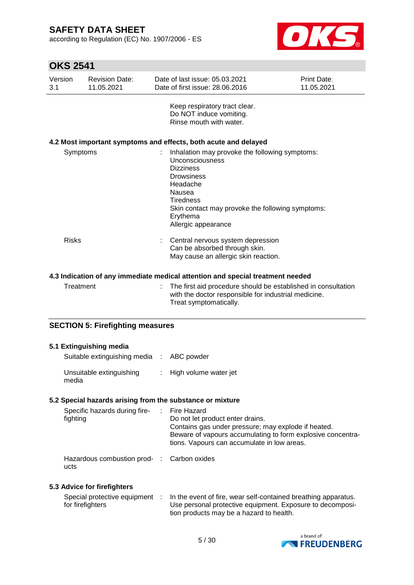according to Regulation (EC) No. 1907/2006 - ES



# **OKS 2541**

| Version<br>3.1 | <b>Revision Date:</b><br>11.05.2021 | Date of last issue: 05.03.2021<br>Date of first issue: 28.06.2016                                                                                                                                                                           | Print Date:<br>11.05.2021 |
|----------------|-------------------------------------|---------------------------------------------------------------------------------------------------------------------------------------------------------------------------------------------------------------------------------------------|---------------------------|
|                |                                     | Keep respiratory tract clear.<br>Do NOT induce vomiting.<br>Rinse mouth with water.                                                                                                                                                         |                           |
|                |                                     | 4.2 Most important symptoms and effects, both acute and delayed                                                                                                                                                                             |                           |
|                | Symptoms                            | Inhalation may provoke the following symptoms:<br>Unconsciousness<br><b>Dizziness</b><br><b>Drowsiness</b><br>Headache<br>Nausea<br><b>Tiredness</b><br>Skin contact may provoke the following symptoms:<br>Erythema<br>Allergic appearance |                           |
| <b>Risks</b>   |                                     | Central nervous system depression<br>Can be absorbed through skin.<br>May cause an allergic skin reaction.                                                                                                                                  |                           |
|                |                                     | 4.3 Indication of any immediate medical attention and special treatment needed                                                                                                                                                              |                           |
|                | Treatment                           | The first aid procedure should be established in consultation                                                                                                                                                                               |                           |

| Treatment | : The first aid procedure should be established in consultation<br>with the doctor responsible for industrial medicine. |
|-----------|-------------------------------------------------------------------------------------------------------------------------|
|           | Treat symptomatically.                                                                                                  |

#### **SECTION 5: Firefighting measures**

| 5.1 Extinguishing media<br>Suitable extinguishing media : ABC powder |                                                                                                                                                                                                       |
|----------------------------------------------------------------------|-------------------------------------------------------------------------------------------------------------------------------------------------------------------------------------------------------|
| Unsuitable extinguishing<br>media                                    | : High volume water jet                                                                                                                                                                               |
| 5.2 Special hazards arising from the substance or mixture            |                                                                                                                                                                                                       |
| Specific hazards during fire- : Fire Hazard<br>fighting              | Do not let product enter drains.<br>Contains gas under pressure; may explode if heated.<br>Beware of vapours accumulating to form explosive concentra-<br>tions. Vapours can accumulate in low areas. |
| Hazardous combustion prod- : Carbon oxides<br>ucts                   |                                                                                                                                                                                                       |
| 5.3 Advice for firefighters                                          |                                                                                                                                                                                                       |

Special protective equipment : for firefighters : In the event of fire, wear self-contained breathing apparatus. Use personal protective equipment. Exposure to decomposition products may be a hazard to health.

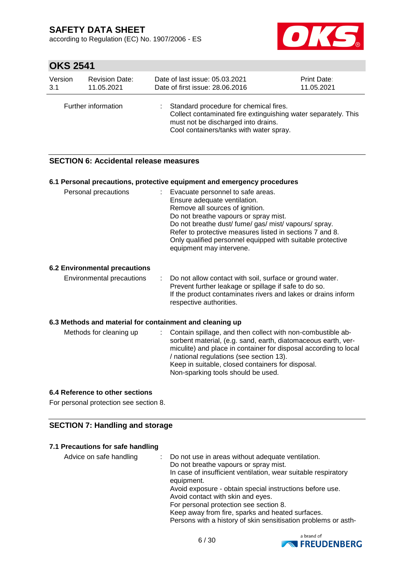according to Regulation (EC) No. 1907/2006 - ES



# **OKS 2541**

| Version | <b>Revision Date:</b> | Date of last issue: 05.03.2021                                                                                                                                                             | Print Date: |
|---------|-----------------------|--------------------------------------------------------------------------------------------------------------------------------------------------------------------------------------------|-------------|
| 3.1     | 11.05.2021            | Date of first issue: 28,06,2016                                                                                                                                                            | 11.05.2021  |
|         | Further information   | Standard procedure for chemical fires.<br>Collect contaminated fire extinguishing water separately. This<br>must not be discharged into drains.<br>Cool containers/tanks with water spray. |             |

#### **SECTION 6: Accidental release measures**

|                                                          | 6.1 Personal precautions, protective equipment and emergency procedures                                                                                                                                                                                                                                                                                        |
|----------------------------------------------------------|----------------------------------------------------------------------------------------------------------------------------------------------------------------------------------------------------------------------------------------------------------------------------------------------------------------------------------------------------------------|
| Personal precautions                                     | : Evacuate personnel to safe areas.<br>Ensure adequate ventilation.<br>Remove all sources of ignition.<br>Do not breathe vapours or spray mist.<br>Do not breathe dust/ fume/ gas/ mist/ vapours/ spray.<br>Refer to protective measures listed in sections 7 and 8.<br>Only qualified personnel equipped with suitable protective<br>equipment may intervene. |
| <b>6.2 Environmental precautions</b>                     |                                                                                                                                                                                                                                                                                                                                                                |
| Environmental precautions                                | Do not allow contact with soil, surface or ground water.<br>Prevent further leakage or spillage if safe to do so.<br>If the product contaminates rivers and lakes or drains inform<br>respective authorities.                                                                                                                                                  |
| 6.3 Methods and material for containment and cleaning up |                                                                                                                                                                                                                                                                                                                                                                |
| Methods for cleaning up                                  | Contain spillage, and then collect with non-combustible ab-<br>sorbent material, (e.g. sand, earth, diatomaceous earth, ver-<br>miculite) and place in container for disposal according to local<br>/ national regulations (see section 13).<br>Keep in suitable, closed containers for disposal.<br>Non-sparking tools should be used.                        |

#### **6.4 Reference to other sections**

For personal protection see section 8.

#### **SECTION 7: Handling and storage**

#### **7.1 Precautions for safe handling**

| In case of insufficient ventilation, wear suitable respiratory<br>equipment.<br>Avoid exposure - obtain special instructions before use.<br>Avoid contact with skin and eyes.<br>For personal protection see section 8.<br>Keep away from fire, sparks and heated surfaces.<br>Persons with a history of skin sensitisation problems or asth- |  |
|-----------------------------------------------------------------------------------------------------------------------------------------------------------------------------------------------------------------------------------------------------------------------------------------------------------------------------------------------|--|
|-----------------------------------------------------------------------------------------------------------------------------------------------------------------------------------------------------------------------------------------------------------------------------------------------------------------------------------------------|--|

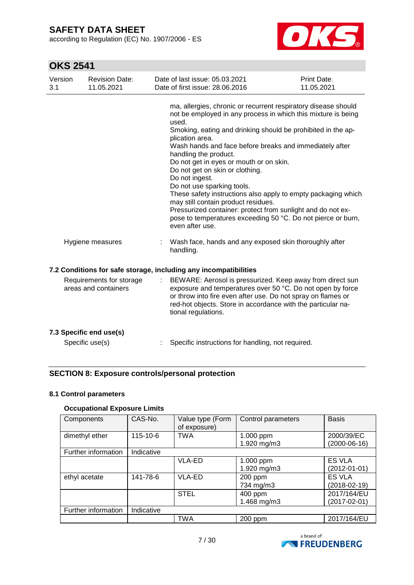according to Regulation (EC) No. 1907/2006 - ES



# **OKS 2541**

| Version<br>3.1 | <b>Revision Date:</b><br>11.05.2021              | Date of last issue: 05.03.2021<br>Date of first issue: 28.06.2016                                                                                                                                                                         | Print Date:<br>11.05.2021                                                                                                                                                                                                                                                                                                                                                                                                                                  |
|----------------|--------------------------------------------------|-------------------------------------------------------------------------------------------------------------------------------------------------------------------------------------------------------------------------------------------|------------------------------------------------------------------------------------------------------------------------------------------------------------------------------------------------------------------------------------------------------------------------------------------------------------------------------------------------------------------------------------------------------------------------------------------------------------|
|                |                                                  | used.<br>plication area.<br>handling the product.<br>Do not get in eyes or mouth or on skin.<br>Do not get on skin or clothing.<br>Do not ingest.<br>Do not use sparking tools.<br>may still contain product residues.<br>even after use. | ma, allergies, chronic or recurrent respiratory disease should<br>not be employed in any process in which this mixture is being<br>Smoking, eating and drinking should be prohibited in the ap-<br>Wash hands and face before breaks and immediately after<br>These safety instructions also apply to empty packaging which<br>Pressurized container: protect from sunlight and do not ex-<br>pose to temperatures exceeding 50 °C. Do not pierce or burn, |
|                | Hygiene measures                                 | handling.                                                                                                                                                                                                                                 | Wash face, hands and any exposed skin thoroughly after                                                                                                                                                                                                                                                                                                                                                                                                     |
|                |                                                  | 7.2 Conditions for safe storage, including any incompatibilities                                                                                                                                                                          |                                                                                                                                                                                                                                                                                                                                                                                                                                                            |
|                | Requirements for storage<br>areas and containers | ÷.<br>tional regulations.                                                                                                                                                                                                                 | BEWARE: Aerosol is pressurized. Keep away from direct sun<br>exposure and temperatures over 50 °C. Do not open by force<br>or throw into fire even after use. Do not spray on flames or<br>red-hot objects. Store in accordance with the particular na-                                                                                                                                                                                                    |
|                | 7.3 Specific end use(s)                          |                                                                                                                                                                                                                                           |                                                                                                                                                                                                                                                                                                                                                                                                                                                            |
|                | Specific use(s)                                  | Specific instructions for handling, not required.                                                                                                                                                                                         |                                                                                                                                                                                                                                                                                                                                                                                                                                                            |

### **SECTION 8: Exposure controls/personal protection**

#### **8.1 Control parameters**

#### **Occupational Exposure Limits**

| Components          | CAS-No.    | Value type (Form<br>of exposure) | Control parameters | <b>Basis</b>       |
|---------------------|------------|----------------------------------|--------------------|--------------------|
| dimethyl ether      | 115-10-6   | <b>TWA</b>                       | 1.000 ppm          | 2000/39/EC         |
|                     |            |                                  | 1.920 mg/m3        | $(2000-06-16)$     |
| Further information | Indicative |                                  |                    |                    |
|                     |            | <b>VLA-ED</b>                    | 1.000 ppm          | <b>ES VLA</b>      |
|                     |            |                                  | 1.920 mg/m3        | $(2012 - 01 - 01)$ |
| ethyl acetate       | 141-78-6   | <b>VLA-ED</b>                    | 200 ppm            | <b>ES VLA</b>      |
|                     |            |                                  | 734 mg/m3          | $(2018-02-19)$     |
|                     |            | <b>STEL</b>                      | 400 ppm            | 2017/164/EU        |
|                     |            |                                  | 1.468 mg/m3        | (2017-02-01)       |
| Further information | Indicative |                                  |                    |                    |
|                     |            | <b>TWA</b>                       | 200 ppm            | 2017/164/EU        |

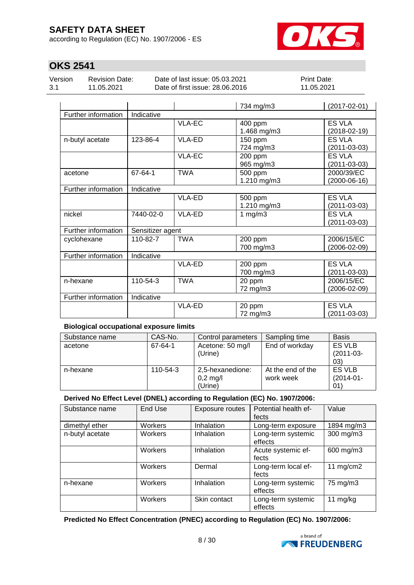according to Regulation (EC) No. 1907/2006 - ES



### **OKS 2541**

| Version | <b>Revision Date:</b> | Date of last issue: 05.03.2021  | <b>Print Date:</b> |
|---------|-----------------------|---------------------------------|--------------------|
| 3.1     | 11.05.2021            | Date of first issue: 28.06.2016 | 11.05.2021         |
|         |                       |                                 |                    |

|                     |                  |               | 734 mg/m3   | $(2017 - 02 - 01)$ |
|---------------------|------------------|---------------|-------------|--------------------|
| Further information | Indicative       |               |             |                    |
|                     |                  | <b>VLA-EC</b> | 400 ppm     | <b>ES VLA</b>      |
|                     |                  |               | 1.468 mg/m3 | $(2018 - 02 - 19)$ |
| n-butyl acetate     | 123-86-4         | <b>VLA-ED</b> | 150 ppm     | <b>ES VLA</b>      |
|                     |                  |               | 724 mg/m3   | $(2011 - 03 - 03)$ |
|                     |                  | <b>VLA-EC</b> | 200 ppm     | <b>ES VLA</b>      |
|                     |                  |               | 965 mg/m3   | $(2011 - 03 - 03)$ |
| acetone             | 67-64-1          | <b>TWA</b>    | 500 ppm     | 2000/39/EC         |
|                     |                  |               | 1.210 mg/m3 | $(2000-06-16)$     |
| Further information | Indicative       |               |             |                    |
|                     |                  | <b>VLA-ED</b> | 500 ppm     | <b>ES VLA</b>      |
|                     |                  |               | 1.210 mg/m3 | $(2011 - 03 - 03)$ |
| nickel              | 7440-02-0        | <b>VLA-ED</b> | 1 $mg/m3$   | <b>ES VLA</b>      |
|                     |                  |               |             | $(2011 - 03 - 03)$ |
| Further information | Sensitizer agent |               |             |                    |
| cyclohexane         | 110-82-7         | <b>TWA</b>    | 200 ppm     | 2006/15/EC         |
|                     |                  |               | 700 mg/m3   | (2006-02-09)       |
| Further information | Indicative       |               |             |                    |
|                     |                  | VLA-ED        | 200 ppm     | <b>ES VLA</b>      |
|                     |                  |               | 700 mg/m3   | $(2011 - 03 - 03)$ |
| n-hexane            | 110-54-3         | <b>TWA</b>    | 20 ppm      | 2006/15/EC         |
|                     |                  |               | 72 mg/m3    | $(2006 - 02 - 09)$ |
| Further information | Indicative       |               |             |                    |
|                     |                  | <b>VLA-ED</b> | 20 ppm      | <b>ES VLA</b>      |
|                     |                  |               | 72 mg/m3    | $(2011 - 03 - 03)$ |

#### **Biological occupational exposure limits**

| Substance name | CAS-No.  | Control parameters | Sampling time     | <b>Basis</b>   |
|----------------|----------|--------------------|-------------------|----------------|
| acetone        | 67-64-1  | Acetone: 50 mg/l   | End of workday    | ES VLB         |
|                |          | (Urine)            |                   | $(2011-03-$    |
|                |          |                    |                   | 03)            |
| n-hexane       | 110-54-3 | 2,5-hexanedione:   | At the end of the | ES VLB         |
|                |          | $0,2$ mg/l         | work week         | $(2014 - 01 -$ |
|                |          | (Urine)            |                   | 01             |

#### **Derived No Effect Level (DNEL) according to Regulation (EC) No. 1907/2006:**

| Substance name  | End Use | Exposure routes | Potential health ef-<br>fects | Value       |
|-----------------|---------|-----------------|-------------------------------|-------------|
| dimethyl ether  | Workers | Inhalation      | Long-term exposure            | 1894 mg/m3  |
| n-butyl acetate | Workers | Inhalation      | Long-term systemic<br>effects | 300 mg/m3   |
|                 | Workers | Inhalation      | Acute systemic ef-<br>fects   | 600 mg/m3   |
|                 | Workers | Dermal          | Long-term local ef-<br>fects  | 11 $mg/cm2$ |
| n-hexane        | Workers | Inhalation      | Long-term systemic<br>effects | 75 mg/m3    |
|                 | Workers | Skin contact    | Long-term systemic<br>effects | 11 $mg/kg$  |

**Predicted No Effect Concentration (PNEC) according to Regulation (EC) No. 1907/2006:**

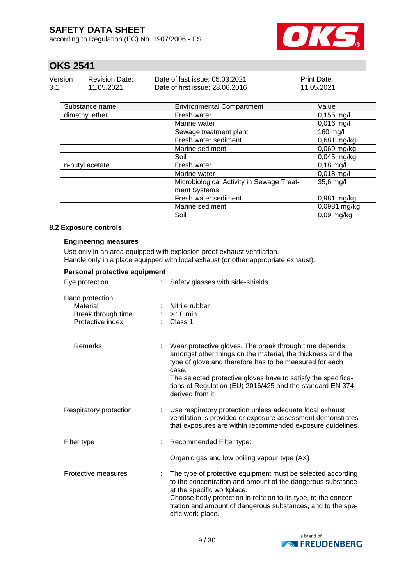according to Regulation (EC) No. 1907/2006 - ES



### **OKS 2541**

| Version | <b>Revision Date:</b> | Date of last issue: 05.03.2021  | <b>Print Date:</b> |
|---------|-----------------------|---------------------------------|--------------------|
| -3.1    | 11.05.2021            | Date of first issue: 28,06,2016 | 11.05.2021         |

| Substance name  | <b>Environmental Compartment</b>                          | Value         |
|-----------------|-----------------------------------------------------------|---------------|
| dimethyl ether  | Fresh water                                               | $0,155$ mg/l  |
|                 | Marine water                                              | $0,016$ mg/l  |
|                 | Sewage treatment plant                                    | 160 mg/l      |
|                 | Fresh water sediment                                      | 0,681 mg/kg   |
|                 | Marine sediment                                           | 0,069 mg/kg   |
|                 | Soil                                                      | $0,045$ mg/kg |
| n-butyl acetate | Fresh water                                               | $0,18$ mg/l   |
|                 | Marine water                                              | $0,018$ mg/l  |
|                 | Microbiological Activity in Sewage Treat-<br>ment Systems | 35,6 mg/l     |
|                 | Fresh water sediment                                      | 0,981 mg/kg   |
|                 | Marine sediment                                           | 0,0981 mg/kg  |
|                 | Soil                                                      | $0,09$ mg/kg  |

#### **8.2 Exposure controls**

#### **Engineering measures**

Use only in an area equipped with explosion proof exhaust ventilation. Handle only in a place equipped with local exhaust (or other appropriate exhaust).

| Personal protective equipment                                         |                                                                                                                                                                                                                                                                                                                                             |
|-----------------------------------------------------------------------|---------------------------------------------------------------------------------------------------------------------------------------------------------------------------------------------------------------------------------------------------------------------------------------------------------------------------------------------|
| Eye protection                                                        | Safety glasses with side-shields                                                                                                                                                                                                                                                                                                            |
| Hand protection<br>Material<br>Break through time<br>Protective index | Nitrile rubber<br>$> 10$ min<br>Class 1                                                                                                                                                                                                                                                                                                     |
| <b>Remarks</b>                                                        | Wear protective gloves. The break through time depends<br>amongst other things on the material, the thickness and the<br>type of glove and therefore has to be measured for each<br>case.<br>The selected protective gloves have to satisfy the specifica-<br>tions of Regulation (EU) 2016/425 and the standard EN 374<br>derived from it. |
| Respiratory protection                                                | Use respiratory protection unless adequate local exhaust<br>ventilation is provided or exposure assessment demonstrates<br>that exposures are within recommended exposure guidelines.                                                                                                                                                       |
| Filter type                                                           | Recommended Filter type:                                                                                                                                                                                                                                                                                                                    |
|                                                                       | Organic gas and low boiling vapour type (AX)                                                                                                                                                                                                                                                                                                |
| Protective measures                                                   | The type of protective equipment must be selected according<br>to the concentration and amount of the dangerous substance<br>at the specific workplace.<br>Choose body protection in relation to its type, to the concen-<br>tration and amount of dangerous substances, and to the spe-<br>cific work-place.                               |

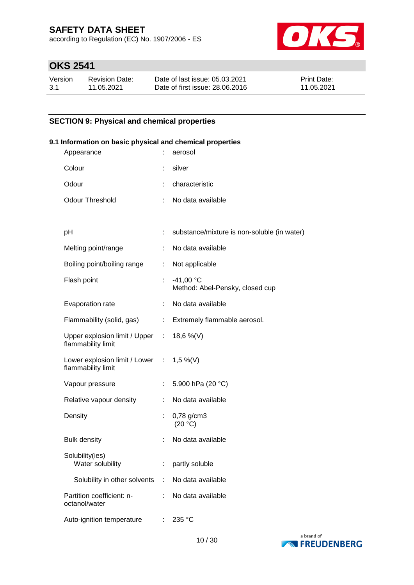according to Regulation (EC) No. 1907/2006 - ES



### **OKS 2541**

| Version | <b>Revision Date:</b> | Date of last issue: 05.03.2021  | <b>Print Date:</b> |
|---------|-----------------------|---------------------------------|--------------------|
| -3.1    | 11.05.2021            | Date of first issue: 28,06,2016 | 11.05.2021         |

#### **SECTION 9: Physical and chemical properties**

# **9.1 Information on basic physical and chemical properties** Appearance : aerosol Colour : silver Odour : characteristic Odour Threshold : No data available pH : substance/mixture is non-soluble (in water) Melting point/range : No data available Boiling point/boiling range : Not applicable Flash point : -41,00 °C Method: Abel-Pensky, closed cup Evaporation rate : No data available Flammability (solid, gas) : Extremely flammable aerosol. Upper explosion limit / Upper flammability limit :  $18,6 \%$  (V) Lower explosion limit / Lower : flammability limit 1,5 %(V) Vapour pressure : 5.900 hPa (20 °C) Relative vapour density : No data available Density : 0,78 g/cm3  $(20 °C)$ Bulk density **in the case of the case of the Bulk** No data available Solubility(ies) Water solubility **:** partly soluble Solubility in other solvents : No data available Partition coefficient: noctanol/water : No data available Auto-ignition temperature : 235 °C

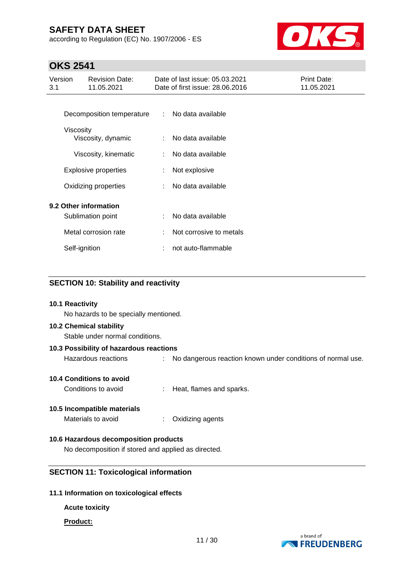according to Regulation (EC) No. 1907/2006 - ES



### **OKS 2541**

| Version<br>3.1 | <b>Revision Date:</b><br>11.05.2021 |                | Date of last issue: 05.03.2021<br>Date of first issue: 28.06.2016 | Print Date:<br>11.05.2021 |
|----------------|-------------------------------------|----------------|-------------------------------------------------------------------|---------------------------|
|                |                                     |                |                                                                   |                           |
|                | Decomposition temperature           | $\mathbb{R}^n$ | No data available                                                 |                           |
|                | Viscosity<br>Viscosity, dynamic     | ÷              | No data available                                                 |                           |
|                | Viscosity, kinematic                | ÷              | No data available                                                 |                           |
|                | <b>Explosive properties</b>         | ÷              | Not explosive                                                     |                           |
|                | Oxidizing properties                |                | No data available                                                 |                           |
|                | 9.2 Other information               |                |                                                                   |                           |
|                | Sublimation point                   |                | No data available                                                 |                           |
|                | Metal corrosion rate                |                | Not corrosive to metals                                           |                           |
|                | Self-ignition                       | ÷              | not auto-flammable                                                |                           |
|                |                                     |                |                                                                   |                           |

#### **SECTION 10: Stability and reactivity**

#### **10.1 Reactivity**

No hazards to be specially mentioned.

#### **10.2 Chemical stability**

Stable under normal conditions.

### **10.3 Possibility of hazardous reactions** Hazardous reactions : No dangerous reaction known under conditions of normal use.

#### **10.4 Conditions to avoid**

Conditions to avoid : Heat, flames and sparks.

#### **10.5 Incompatible materials**

Materials to avoid : Oxidizing agents

#### **10.6 Hazardous decomposition products**

No decomposition if stored and applied as directed.

#### **SECTION 11: Toxicological information**

#### **11.1 Information on toxicological effects**

#### **Acute toxicity**

#### **Product:**

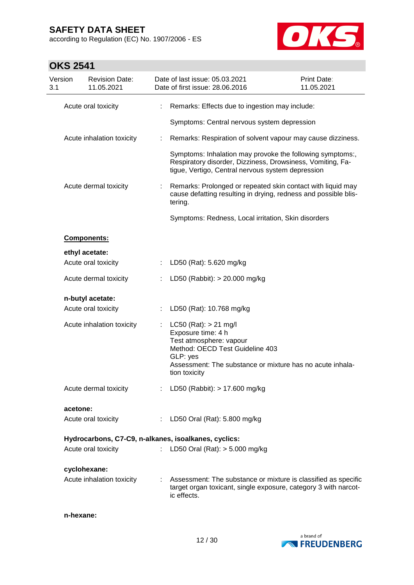**OKS 2541**

Version 3.1

according to Regulation (EC) No. 1907/2006 - ES

Revision Date:



Print Date:

| 11.05.2021                                           |    | Date of first issue: 28.06.2016                                                                                                                                                                         | 11.05.2021 |
|------------------------------------------------------|----|---------------------------------------------------------------------------------------------------------------------------------------------------------------------------------------------------------|------------|
| Acute oral toxicity                                  | ÷  | Remarks: Effects due to ingestion may include:                                                                                                                                                          |            |
|                                                      |    | Symptoms: Central nervous system depression                                                                                                                                                             |            |
| Acute inhalation toxicity                            | ÷  | Remarks: Respiration of solvent vapour may cause dizziness.                                                                                                                                             |            |
|                                                      |    | Symptoms: Inhalation may provoke the following symptoms:,<br>Respiratory disorder, Dizziness, Drowsiness, Vomiting, Fa-<br>tigue, Vertigo, Central nervous system depression                            |            |
| Acute dermal toxicity                                |    | Remarks: Prolonged or repeated skin contact with liquid may<br>cause defatting resulting in drying, redness and possible blis-<br>tering.                                                               |            |
|                                                      |    | Symptoms: Redness, Local irritation, Skin disorders                                                                                                                                                     |            |
| Components:                                          |    |                                                                                                                                                                                                         |            |
| ethyl acetate:                                       |    |                                                                                                                                                                                                         |            |
| Acute oral toxicity                                  |    | LD50 (Rat): 5.620 mg/kg                                                                                                                                                                                 |            |
| Acute dermal toxicity                                |    | LD50 (Rabbit): > 20.000 mg/kg                                                                                                                                                                           |            |
| n-butyl acetate:                                     |    |                                                                                                                                                                                                         |            |
| Acute oral toxicity                                  |    | LD50 (Rat): 10.768 mg/kg                                                                                                                                                                                |            |
| Acute inhalation toxicity                            |    | $LC50$ (Rat): $> 21$ mg/l<br>Exposure time: 4 h<br>Test atmosphere: vapour<br>Method: OECD Test Guideline 403<br>GLP: yes<br>Assessment: The substance or mixture has no acute inhala-<br>tion toxicity |            |
| Acute dermal toxicity                                | ÷  | LD50 (Rabbit): > 17.600 mg/kg                                                                                                                                                                           |            |
| acetone:                                             |    |                                                                                                                                                                                                         |            |
| Acute oral toxicity                                  |    | : LD50 Oral (Rat): 5.800 mg/kg                                                                                                                                                                          |            |
| Hydrocarbons, C7-C9, n-alkanes, isoalkanes, cyclics: |    |                                                                                                                                                                                                         |            |
| Acute oral toxicity                                  | ÷. | LD50 Oral (Rat): $> 5.000$ mg/kg                                                                                                                                                                        |            |
| cyclohexane:                                         |    |                                                                                                                                                                                                         |            |
|                                                      |    | Acute inhalation toxicity : Assessment: The substance or mixture is classified as specific                                                                                                              |            |

Date of last issue: 05.03.2021

**n-hexane:**



ic effects.

target organ toxicant, single exposure, category 3 with narcot-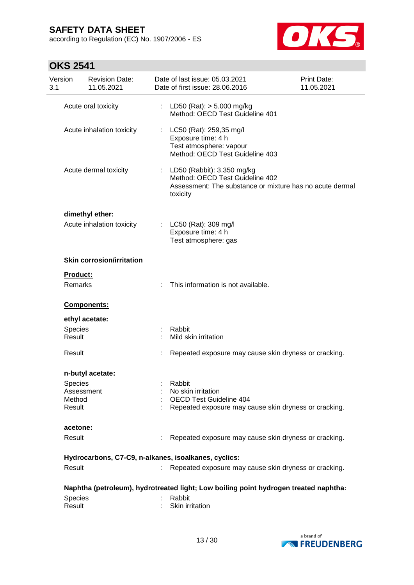according to Regulation (EC) No. 1907/2006 - ES



| Version<br>3.1   | <b>Revision Date:</b><br>11.05.2021 |    | Date of last issue: 05.03.2021<br>Date of first issue: 28.06.2016                                                                     | Print Date:<br>11.05.2021 |
|------------------|-------------------------------------|----|---------------------------------------------------------------------------------------------------------------------------------------|---------------------------|
|                  | Acute oral toxicity                 |    | LD50 (Rat): $> 5.000$ mg/kg<br>Method: OECD Test Guideline 401                                                                        |                           |
|                  | Acute inhalation toxicity           | ÷  | LC50 (Rat): 259,35 mg/l<br>Exposure time: 4 h<br>Test atmosphere: vapour<br>Method: OECD Test Guideline 403                           |                           |
|                  | Acute dermal toxicity               | ÷. | LD50 (Rabbit): 3.350 mg/kg<br>Method: OECD Test Guideline 402<br>Assessment: The substance or mixture has no acute dermal<br>toxicity |                           |
|                  | dimethyl ether:                     |    |                                                                                                                                       |                           |
|                  | Acute inhalation toxicity           |    | LC50 (Rat): 309 mg/l<br>Exposure time: 4 h<br>Test atmosphere: gas                                                                    |                           |
|                  | <b>Skin corrosion/irritation</b>    |    |                                                                                                                                       |                           |
| Product:         |                                     |    |                                                                                                                                       |                           |
| <b>Remarks</b>   |                                     |    | This information is not available.                                                                                                    |                           |
|                  | Components:                         |    |                                                                                                                                       |                           |
|                  | ethyl acetate:                      |    |                                                                                                                                       |                           |
| <b>Species</b>   |                                     |    | Rabbit                                                                                                                                |                           |
| Result           |                                     |    | Mild skin irritation                                                                                                                  |                           |
| Result           |                                     |    | Repeated exposure may cause skin dryness or cracking.                                                                                 |                           |
|                  | n-butyl acetate:                    |    |                                                                                                                                       |                           |
| Species          |                                     |    | Rabbit                                                                                                                                |                           |
|                  | Assessment                          |    | No skin irritation                                                                                                                    |                           |
| Method<br>Result |                                     |    | OECD Test Guideline 404<br>Repeated exposure may cause skin dryness or cracking.                                                      |                           |
|                  |                                     |    |                                                                                                                                       |                           |
| acetone:         |                                     |    |                                                                                                                                       |                           |
| Result           |                                     |    | Repeated exposure may cause skin dryness or cracking.                                                                                 |                           |
|                  |                                     |    | Hydrocarbons, C7-C9, n-alkanes, isoalkanes, cyclics:                                                                                  |                           |
| Result           |                                     |    | Repeated exposure may cause skin dryness or cracking.                                                                                 |                           |
|                  |                                     |    | Naphtha (petroleum), hydrotreated light; Low boiling point hydrogen treated naphtha:                                                  |                           |
| Species          |                                     |    | Rabbit                                                                                                                                |                           |
| Result           |                                     |    | Skin irritation                                                                                                                       |                           |
|                  |                                     |    |                                                                                                                                       |                           |

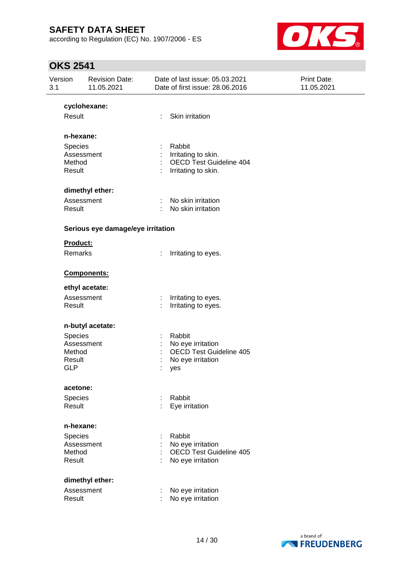according to Regulation (EC) No. 1907/2006 - ES



| Version<br>3.1 |                                                         | <b>Revision Date:</b><br>11.05.2021 |        | Date of last issue: 05.03.2021<br>Date of first issue: 28.06.2016                         | Print Date:<br>11.05.2021 |
|----------------|---------------------------------------------------------|-------------------------------------|--------|-------------------------------------------------------------------------------------------|---------------------------|
|                |                                                         | cyclohexane:                        |        |                                                                                           |                           |
|                | Result                                                  |                                     | ÷.     | Skin irritation                                                                           |                           |
|                | n-hexane:                                               |                                     |        |                                                                                           |                           |
|                | Species<br>Assessment<br>Method<br>Result               |                                     | t<br>÷ | Rabbit<br>Irritating to skin.<br><b>OECD Test Guideline 404</b><br>Irritating to skin.    |                           |
|                |                                                         | dimethyl ether:                     |        |                                                                                           |                           |
|                | Assessment<br>Result                                    |                                     |        | No skin irritation<br>No skin irritation                                                  |                           |
|                |                                                         | Serious eye damage/eye irritation   |        |                                                                                           |                           |
|                | Product:                                                |                                     |        |                                                                                           |                           |
|                | Remarks                                                 |                                     | ÷      | Irritating to eyes.                                                                       |                           |
|                |                                                         | Components:                         |        |                                                                                           |                           |
|                |                                                         | ethyl acetate:                      |        |                                                                                           |                           |
|                | Assessment<br>Result                                    |                                     | ÷      | Irritating to eyes.<br>Irritating to eyes.                                                |                           |
|                |                                                         | n-butyl acetate:                    |        |                                                                                           |                           |
|                | Species<br>Assessment<br>Method<br>Result<br><b>GLP</b> |                                     |        | Rabbit<br>No eye irritation<br><b>OECD Test Guideline 405</b><br>No eye irritation<br>yes |                           |
|                | acetone:                                                |                                     |        |                                                                                           |                           |
|                | Species<br>Result                                       |                                     |        | Rabbit<br>Eye irritation                                                                  |                           |
|                | n-hexane:                                               |                                     |        |                                                                                           |                           |
|                | Species<br>Assessment<br>Method<br>Result               |                                     |        | Rabbit<br>No eye irritation<br><b>OECD Test Guideline 405</b><br>No eye irritation        |                           |
|                |                                                         | dimethyl ether:                     |        |                                                                                           |                           |
|                | Assessment<br>Result                                    |                                     |        | No eye irritation<br>No eye irritation                                                    |                           |

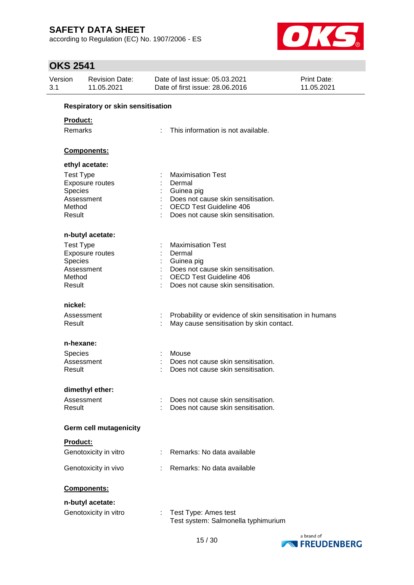according to Regulation (EC) No. 1907/2006 - ES



| Version<br>3.1              | <b>Revision Date:</b><br>11.05.2021                      |    | Date of last issue: 05.03.2021<br>Date of first issue: 28.06.2016                                                                                              | <b>Print Date:</b><br>11.05.2021 |
|-----------------------------|----------------------------------------------------------|----|----------------------------------------------------------------------------------------------------------------------------------------------------------------|----------------------------------|
|                             | <b>Respiratory or skin sensitisation</b>                 |    |                                                                                                                                                                |                                  |
| Remarks                     | Product:                                                 |    | This information is not available.                                                                                                                             |                                  |
|                             | Components:                                              |    |                                                                                                                                                                |                                  |
|                             | ethyl acetate:                                           |    |                                                                                                                                                                |                                  |
| Species<br>Method<br>Result | <b>Test Type</b><br>Exposure routes<br>Assessment        |    | <b>Maximisation Test</b><br>Dermal<br>Guinea pig<br>Does not cause skin sensitisation.<br><b>OECD Test Guideline 406</b><br>Does not cause skin sensitisation. |                                  |
|                             | n-butyl acetate:                                         |    |                                                                                                                                                                |                                  |
| Species<br>Method<br>Result | <b>Test Type</b><br><b>Exposure routes</b><br>Assessment |    | <b>Maximisation Test</b><br>Dermal<br>Guinea pig<br>Does not cause skin sensitisation.<br><b>OECD Test Guideline 406</b><br>Does not cause skin sensitisation. |                                  |
| nickel:                     |                                                          |    |                                                                                                                                                                |                                  |
| Result                      | Assessment                                               | ÷  | Probability or evidence of skin sensitisation in humans<br>May cause sensitisation by skin contact.                                                            |                                  |
|                             | n-hexane:                                                |    |                                                                                                                                                                |                                  |
| Species<br>Result           | Assessment                                               |    | Mouse<br>Does not cause skin sensitisation.<br>Does not cause skin sensitisation.                                                                              |                                  |
|                             | dimethyl ether:                                          |    |                                                                                                                                                                |                                  |
| Result                      | Assessment                                               |    | Does not cause skin sensitisation.<br>Does not cause skin sensitisation.                                                                                       |                                  |
|                             | <b>Germ cell mutagenicity</b>                            |    |                                                                                                                                                                |                                  |
|                             | Product:                                                 |    |                                                                                                                                                                |                                  |
|                             | Genotoxicity in vitro                                    | ÷. | Remarks: No data available                                                                                                                                     |                                  |
|                             | Genotoxicity in vivo                                     |    | Remarks: No data available                                                                                                                                     |                                  |
|                             | Components:                                              |    |                                                                                                                                                                |                                  |
|                             | n-butyl acetate:                                         |    |                                                                                                                                                                |                                  |
|                             | Genotoxicity in vitro                                    |    | Test Type: Ames test<br>Test system: Salmonella typhimurium                                                                                                    |                                  |

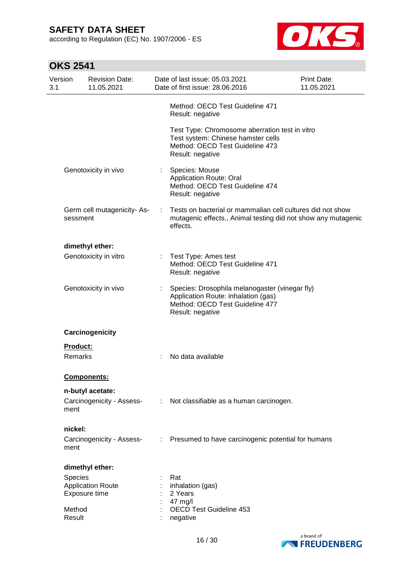according to Regulation (EC) No. 1907/2006 - ES



| Version<br>3.1 |                  | <b>Revision Date:</b><br>11.05.2021       |                               | Date of last issue: 05.03.2021<br>Date of first issue: 28.06.2016                                                                            | <b>Print Date:</b><br>11.05.2021 |
|----------------|------------------|-------------------------------------------|-------------------------------|----------------------------------------------------------------------------------------------------------------------------------------------|----------------------------------|
|                |                  |                                           |                               | Method: OECD Test Guideline 471<br>Result: negative                                                                                          |                                  |
|                |                  |                                           |                               | Test Type: Chromosome aberration test in vitro<br>Test system: Chinese hamster cells<br>Method: OECD Test Guideline 473<br>Result: negative  |                                  |
|                |                  | Genotoxicity in vivo                      |                               | Species: Mouse<br><b>Application Route: Oral</b><br>Method: OECD Test Guideline 474<br>Result: negative                                      |                                  |
|                | sessment         | Germ cell mutagenicity-As-                |                               | Tests on bacterial or mammalian cell cultures did not show<br>mutagenic effects., Animal testing did not show any mutagenic<br>effects.      |                                  |
|                |                  | dimethyl ether:                           |                               |                                                                                                                                              |                                  |
|                |                  | Genotoxicity in vitro                     | $\mathcal{I}^{\mathcal{I}}$ . | Test Type: Ames test<br>Method: OECD Test Guideline 471<br>Result: negative                                                                  |                                  |
|                |                  | Genotoxicity in vivo                      |                               | Species: Drosophila melanogaster (vinegar fly)<br>Application Route: inhalation (gas)<br>Method: OECD Test Guideline 477<br>Result: negative |                                  |
|                |                  | Carcinogenicity                           |                               |                                                                                                                                              |                                  |
|                | Product:         |                                           |                               |                                                                                                                                              |                                  |
|                | Remarks          |                                           |                               | No data available                                                                                                                            |                                  |
|                |                  | <b>Components:</b>                        |                               |                                                                                                                                              |                                  |
|                |                  | n-butyl acetate:                          |                               |                                                                                                                                              |                                  |
|                | ment             | Carcinogenicity - Assess-                 |                               | : Not classifiable as a human carcinogen.                                                                                                    |                                  |
|                | nickel:          |                                           |                               |                                                                                                                                              |                                  |
|                | ment             | Carcinogenicity - Assess-                 |                               | : Presumed to have carcinogenic potential for humans                                                                                         |                                  |
|                |                  | dimethyl ether:                           |                               |                                                                                                                                              |                                  |
|                | Species          |                                           |                               | Rat                                                                                                                                          |                                  |
|                |                  | <b>Application Route</b><br>Exposure time |                               | inhalation (gas)<br>2 Years                                                                                                                  |                                  |
|                |                  |                                           |                               | 47 mg/l                                                                                                                                      |                                  |
|                | Method<br>Result |                                           |                               | <b>OECD Test Guideline 453</b><br>negative                                                                                                   |                                  |

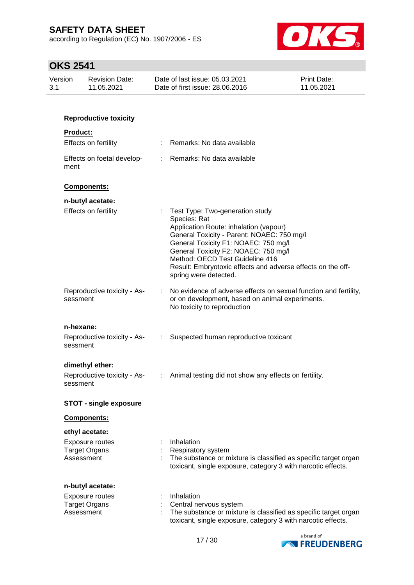according to Regulation (EC) No. 1907/2006 - ES



| Version<br>3.1 |                 | <b>Revision Date:</b><br>11.05.2021                       | Date of last issue: 05.03.2021<br>Date of first issue: 28.06.2016                                                                                                                                                                                                                                                                                    | Print Date:<br>11.05.2021 |
|----------------|-----------------|-----------------------------------------------------------|------------------------------------------------------------------------------------------------------------------------------------------------------------------------------------------------------------------------------------------------------------------------------------------------------------------------------------------------------|---------------------------|
|                |                 |                                                           |                                                                                                                                                                                                                                                                                                                                                      |                           |
|                |                 | <b>Reproductive toxicity</b>                              |                                                                                                                                                                                                                                                                                                                                                      |                           |
|                | <b>Product:</b> |                                                           |                                                                                                                                                                                                                                                                                                                                                      |                           |
|                |                 | Effects on fertility                                      | : Remarks: No data available                                                                                                                                                                                                                                                                                                                         |                           |
|                | ment            | Effects on foetal develop-                                | : Remarks: No data available                                                                                                                                                                                                                                                                                                                         |                           |
|                |                 | Components:                                               |                                                                                                                                                                                                                                                                                                                                                      |                           |
|                |                 | n-butyl acetate:                                          |                                                                                                                                                                                                                                                                                                                                                      |                           |
|                |                 | Effects on fertility                                      | : Test Type: Two-generation study<br>Species: Rat<br>Application Route: inhalation (vapour)<br>General Toxicity - Parent: NOAEC: 750 mg/l<br>General Toxicity F1: NOAEC: 750 mg/l<br>General Toxicity F2: NOAEC: 750 mg/l<br>Method: OECD Test Guideline 416<br>Result: Embryotoxic effects and adverse effects on the off-<br>spring were detected. |                           |
|                | sessment        | Reproductive toxicity - As-                               | No evidence of adverse effects on sexual function and fertility,<br>or on development, based on animal experiments.<br>No toxicity to reproduction                                                                                                                                                                                                   |                           |
|                | n-hexane:       |                                                           |                                                                                                                                                                                                                                                                                                                                                      |                           |
|                | sessment        | Reproductive toxicity - As-                               | Suspected human reproductive toxicant                                                                                                                                                                                                                                                                                                                |                           |
|                | sessment        | dimethyl ether:<br>Reproductive toxicity - As-            | : Animal testing did not show any effects on fertility.                                                                                                                                                                                                                                                                                              |                           |
|                |                 | <b>STOT - single exposure</b>                             |                                                                                                                                                                                                                                                                                                                                                      |                           |
|                |                 | Components:                                               |                                                                                                                                                                                                                                                                                                                                                      |                           |
|                | Assessment      | ethyl acetate:<br>Exposure routes<br><b>Target Organs</b> | Inhalation<br>Respiratory system<br>The substance or mixture is classified as specific target organ<br>toxicant, single exposure, category 3 with narcotic effects.                                                                                                                                                                                  |                           |
|                |                 | n-butyl acetate:                                          |                                                                                                                                                                                                                                                                                                                                                      |                           |
|                | Assessment      | Exposure routes<br><b>Target Organs</b>                   | Inhalation<br>Central nervous system<br>The substance or mixture is classified as specific target organ<br>toxicant, single exposure, category 3 with narcotic effects.                                                                                                                                                                              |                           |

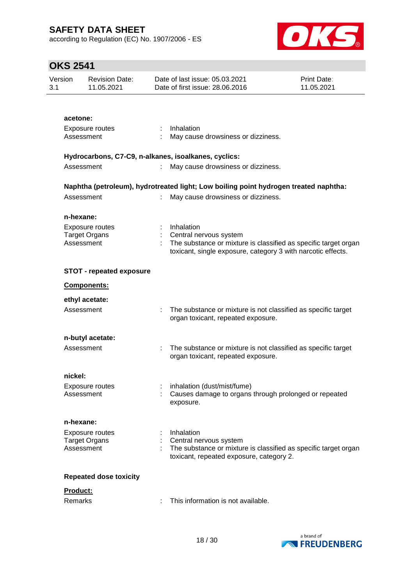according to Regulation (EC) No. 1907/2006 - ES



| Version<br>3.1 |           | <b>Revision Date:</b><br>11.05.2021            |                           | Date of last issue: 05.03.2021<br>Date of first issue: 28.06.2016                                   | Print Date:<br>11.05.2021 |
|----------------|-----------|------------------------------------------------|---------------------------|-----------------------------------------------------------------------------------------------------|---------------------------|
|                |           |                                                |                           |                                                                                                     |                           |
|                | acetone:  |                                                |                           |                                                                                                     |                           |
|                |           | Exposure routes<br>Assessment                  |                           | : Inhalation<br>May cause drowsiness or dizziness.                                                  |                           |
|                |           |                                                |                           |                                                                                                     |                           |
|                |           |                                                |                           | Hydrocarbons, C7-C9, n-alkanes, isoalkanes, cyclics:                                                |                           |
|                |           | Assessment                                     |                           | May cause drowsiness or dizziness.                                                                  |                           |
|                |           |                                                |                           | Naphtha (petroleum), hydrotreated light; Low boiling point hydrogen treated naphtha:                |                           |
|                |           | Assessment                                     |                           | May cause drowsiness or dizziness.                                                                  |                           |
|                | n-hexane: |                                                |                           |                                                                                                     |                           |
|                |           | <b>Exposure routes</b><br><b>Target Organs</b> |                           | Inhalation                                                                                          |                           |
|                |           | Assessment                                     |                           | Central nervous system<br>The substance or mixture is classified as specific target organ           |                           |
|                |           |                                                |                           | toxicant, single exposure, category 3 with narcotic effects.                                        |                           |
|                |           | <b>STOT - repeated exposure</b>                |                           |                                                                                                     |                           |
|                |           | <b>Components:</b>                             |                           |                                                                                                     |                           |
|                |           | ethyl acetate:                                 |                           |                                                                                                     |                           |
|                |           | Assessment                                     | $\mathbb{R}^{\mathbb{Z}}$ | The substance or mixture is not classified as specific target<br>organ toxicant, repeated exposure. |                           |
|                |           | n-butyl acetate:                               |                           |                                                                                                     |                           |
|                |           | Assessment                                     | ÷                         | The substance or mixture is not classified as specific target                                       |                           |
|                |           |                                                |                           | organ toxicant, repeated exposure.                                                                  |                           |
|                | nickel:   |                                                |                           |                                                                                                     |                           |
|                |           | Exposure routes                                |                           | : inhalation (dust/mist/fume)                                                                       |                           |
|                |           | Assessment                                     |                           | Causes damage to organs through prolonged or repeated<br>exposure.                                  |                           |
|                | n-hexane: |                                                |                           |                                                                                                     |                           |
|                |           | Exposure routes                                |                           | Inhalation                                                                                          |                           |
|                |           | <b>Target Organs</b><br>Assessment             |                           | Central nervous system<br>The substance or mixture is classified as specific target organ           |                           |
|                |           |                                                |                           | toxicant, repeated exposure, category 2.                                                            |                           |
|                |           | <b>Repeated dose toxicity</b>                  |                           |                                                                                                     |                           |
|                | Product:  |                                                |                           |                                                                                                     |                           |
|                | Remarks   |                                                |                           | This information is not available.                                                                  |                           |
|                |           |                                                |                           |                                                                                                     |                           |

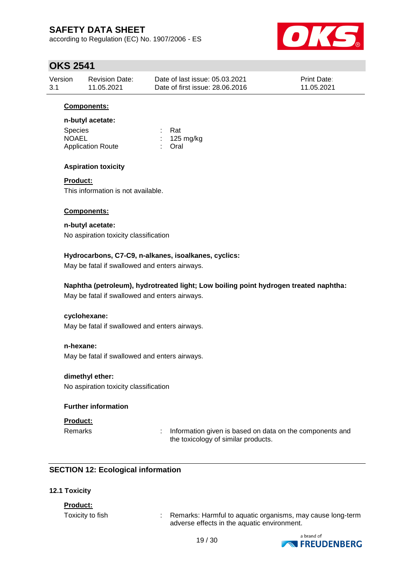according to Regulation (EC) No. 1907/2006 - ES



### **OKS 2541**

| Version | <b>Revision Date:</b> | Date of last issue: 05.03.2021  | <b>Print Date:</b> |
|---------|-----------------------|---------------------------------|--------------------|
| 3.1     | 11.05.2021            | Date of first issue: 28,06,2016 | 11.05.2021         |

#### **Components:**

#### **n-butyl acetate:**

| <b>Species</b>           | : Rat                 |
|--------------------------|-----------------------|
| <b>NOAEL</b>             | $: 125 \text{ mg/kg}$ |
| <b>Application Route</b> | : Oral                |

#### **Aspiration toxicity**

#### **Product:**

This information is not available.

#### **Components:**

# **n-butyl acetate:**

No aspiration toxicity classification

#### **Hydrocarbons, C7-C9, n-alkanes, isoalkanes, cyclics:**

May be fatal if swallowed and enters airways.

### **Naphtha (petroleum), hydrotreated light; Low boiling point hydrogen treated naphtha:**

May be fatal if swallowed and enters airways.

#### **cyclohexane:**

May be fatal if swallowed and enters airways.

#### **n-hexane:**

May be fatal if swallowed and enters airways.

#### **dimethyl ether:**

No aspiration toxicity classification

#### **Further information**

#### **Product:**

Remarks : Information given is based on data on the components and the toxicology of similar products.

### **SECTION 12: Ecological information**

#### **12.1 Toxicity**

#### **Product:**

Toxicity to fish : Remarks: Harmful to aquatic organisms, may cause long-term adverse effects in the aquatic environment.

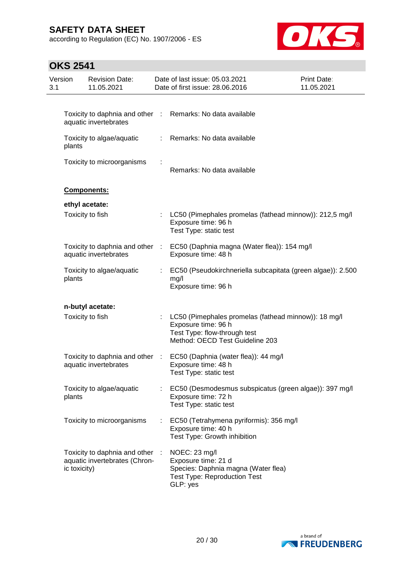according to Regulation (EC) No. 1907/2006 - ES



| Version<br>3.1 |              | <b>Revision Date:</b><br>11.05.2021                            |    | Date of last issue: 05.03.2021<br>Date of first issue: 28.06.2016                                                                              | Print Date:<br>11.05.2021 |
|----------------|--------------|----------------------------------------------------------------|----|------------------------------------------------------------------------------------------------------------------------------------------------|---------------------------|
|                |              |                                                                |    |                                                                                                                                                |                           |
|                |              | aquatic invertebrates                                          |    | Toxicity to daphnia and other : Remarks: No data available                                                                                     |                           |
|                | plants       | Toxicity to algae/aquatic                                      | t. | Remarks: No data available                                                                                                                     |                           |
|                |              | Toxicity to microorganisms                                     |    | Remarks: No data available                                                                                                                     |                           |
|                |              | Components:                                                    |    |                                                                                                                                                |                           |
|                |              | ethyl acetate:                                                 |    |                                                                                                                                                |                           |
|                |              | Toxicity to fish                                               |    | LC50 (Pimephales promelas (fathead minnow)): 212,5 mg/l<br>Exposure time: 96 h<br>Test Type: static test                                       |                           |
|                |              | Toxicity to daphnia and other :<br>aquatic invertebrates       |    | EC50 (Daphnia magna (Water flea)): 154 mg/l<br>Exposure time: 48 h                                                                             |                           |
|                | plants       | Toxicity to algae/aquatic                                      | t. | EC50 (Pseudokirchneriella subcapitata (green algae)): 2.500<br>mg/l<br>Exposure time: 96 h                                                     |                           |
|                |              | n-butyl acetate:                                               |    |                                                                                                                                                |                           |
|                |              | Toxicity to fish                                               |    | LC50 (Pimephales promelas (fathead minnow)): 18 mg/l<br>Exposure time: 96 h<br>Test Type: flow-through test<br>Method: OECD Test Guideline 203 |                           |
|                |              | Toxicity to daphnia and other :<br>aquatic invertebrates       |    | EC50 (Daphnia (water flea)): 44 mg/l<br>Exposure time: 48 h<br>Test Type: static test                                                          |                           |
|                | plants       | Toxicity to algae/aquatic                                      |    | EC50 (Desmodesmus subspicatus (green algae)): 397 mg/l<br>Exposure time: 72 h<br>Test Type: static test                                        |                           |
|                |              | Toxicity to microorganisms                                     | ÷. | EC50 (Tetrahymena pyriformis): 356 mg/l<br>Exposure time: 40 h<br>Test Type: Growth inhibition                                                 |                           |
|                | ic toxicity) | Toxicity to daphnia and other<br>aquatic invertebrates (Chron- |    | NOEC: 23 mg/l<br>Exposure time: 21 d<br>Species: Daphnia magna (Water flea)<br><b>Test Type: Reproduction Test</b><br>GLP: yes                 |                           |

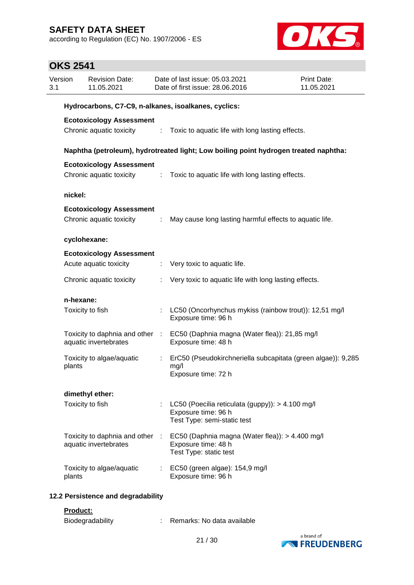according to Regulation (EC) No. 1907/2006 - ES



### **OKS 2541**

| Version<br>3.1 |                                                      | <b>Revision Date:</b><br>11.05.2021                      |        | Date of last issue: 05.03.2021<br>Date of first issue: 28.06.2016                                      | Print Date:<br>11.05.2021 |  |  |  |  |
|----------------|------------------------------------------------------|----------------------------------------------------------|--------|--------------------------------------------------------------------------------------------------------|---------------------------|--|--|--|--|
|                | Hydrocarbons, C7-C9, n-alkanes, isoalkanes, cyclics: |                                                          |        |                                                                                                        |                           |  |  |  |  |
|                |                                                      | <b>Ecotoxicology Assessment</b>                          |        |                                                                                                        |                           |  |  |  |  |
|                |                                                      |                                                          |        | Chronic aquatic toxicity : Toxic to aquatic life with long lasting effects.                            |                           |  |  |  |  |
|                |                                                      |                                                          |        | Naphtha (petroleum), hydrotreated light; Low boiling point hydrogen treated naphtha:                   |                           |  |  |  |  |
|                |                                                      | <b>Ecotoxicology Assessment</b>                          |        |                                                                                                        |                           |  |  |  |  |
|                |                                                      | Chronic aquatic toxicity                                 | $\sim$ | Toxic to aquatic life with long lasting effects.                                                       |                           |  |  |  |  |
|                | nickel:                                              |                                                          |        |                                                                                                        |                           |  |  |  |  |
|                |                                                      | <b>Ecotoxicology Assessment</b>                          |        |                                                                                                        |                           |  |  |  |  |
|                |                                                      | Chronic aquatic toxicity                                 | ÷      | May cause long lasting harmful effects to aquatic life.                                                |                           |  |  |  |  |
|                |                                                      | cyclohexane:                                             |        |                                                                                                        |                           |  |  |  |  |
|                |                                                      | <b>Ecotoxicology Assessment</b>                          |        |                                                                                                        |                           |  |  |  |  |
|                |                                                      | Acute aquatic toxicity                                   |        | : Very toxic to aquatic life.                                                                          |                           |  |  |  |  |
|                |                                                      | Chronic aquatic toxicity                                 |        | Very toxic to aquatic life with long lasting effects.                                                  |                           |  |  |  |  |
|                | n-hexane:                                            |                                                          |        |                                                                                                        |                           |  |  |  |  |
|                |                                                      | Toxicity to fish                                         |        | LC50 (Oncorhynchus mykiss (rainbow trout)): 12,51 mg/l<br>Exposure time: 96 h                          |                           |  |  |  |  |
|                |                                                      | Toxicity to daphnia and other :<br>aquatic invertebrates |        | EC50 (Daphnia magna (Water flea)): 21,85 mg/l<br>Exposure time: 48 h                                   |                           |  |  |  |  |
|                | plants                                               | Toxicity to algae/aquatic                                |        | ErC50 (Pseudokirchneriella subcapitata (green algae)): 9,285<br>mg/l<br>Exposure time: 72 h            |                           |  |  |  |  |
|                |                                                      |                                                          |        |                                                                                                        |                           |  |  |  |  |
|                |                                                      | dimethyl ether:<br>Toxicity to fish                      |        | LC50 (Poecilia reticulata (guppy)): > 4.100 mg/l<br>Exposure time: 96 h<br>Test Type: semi-static test |                           |  |  |  |  |
|                |                                                      | Toxicity to daphnia and other :<br>aquatic invertebrates |        | EC50 (Daphnia magna (Water flea)): > 4.400 mg/l<br>Exposure time: 48 h<br>Test Type: static test       |                           |  |  |  |  |
|                | plants                                               | Toxicity to algae/aquatic                                |        | : EC50 (green algae): 154,9 mg/l<br>Exposure time: 96 h                                                |                           |  |  |  |  |
|                |                                                      | 12.2 Persistence and degradability                       |        |                                                                                                        |                           |  |  |  |  |

#### **Product:**

| <b>Biodegradability</b> | Remarks: No data available |
|-------------------------|----------------------------|
|                         |                            |

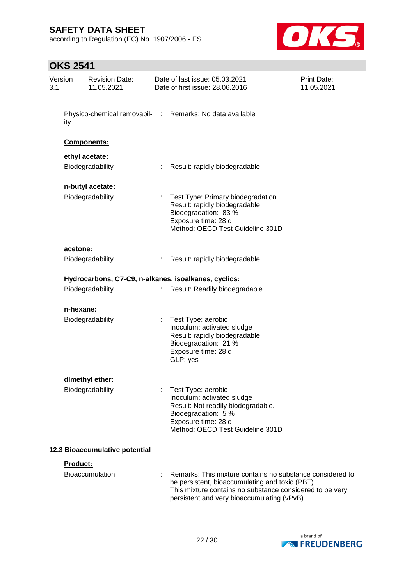according to Regulation (EC) No. 1907/2006 - ES



| Version<br>3.1 |                  | <b>Revision Date:</b><br>11.05.2021 |    | Date of last issue: 05.03.2021<br>Date of first issue: 28.06.2016                                                                                                                                                       | <b>Print Date:</b><br>11.05.2021 |
|----------------|------------------|-------------------------------------|----|-------------------------------------------------------------------------------------------------------------------------------------------------------------------------------------------------------------------------|----------------------------------|
|                | ity              |                                     |    | Physico-chemical removabil- : Remarks: No data available                                                                                                                                                                |                                  |
|                |                  | Components:                         |    |                                                                                                                                                                                                                         |                                  |
|                |                  | ethyl acetate:                      |    |                                                                                                                                                                                                                         |                                  |
|                |                  | Biodegradability                    | t. | Result: rapidly biodegradable                                                                                                                                                                                           |                                  |
|                |                  | n-butyl acetate:                    |    |                                                                                                                                                                                                                         |                                  |
|                |                  | Biodegradability                    |    | Test Type: Primary biodegradation<br>Result: rapidly biodegradable<br>Biodegradation: 83 %<br>Exposure time: 28 d<br>Method: OECD Test Guideline 301D                                                                   |                                  |
|                | acetone:         |                                     |    |                                                                                                                                                                                                                         |                                  |
|                |                  | Biodegradability                    |    | Result: rapidly biodegradable                                                                                                                                                                                           |                                  |
|                |                  |                                     |    | Hydrocarbons, C7-C9, n-alkanes, isoalkanes, cyclics:                                                                                                                                                                    |                                  |
|                | Biodegradability |                                     |    | Result: Readily biodegradable.                                                                                                                                                                                          |                                  |
|                | n-hexane:        |                                     |    |                                                                                                                                                                                                                         |                                  |
|                |                  | Biodegradability                    |    | Test Type: aerobic<br>Inoculum: activated sludge<br>Result: rapidly biodegradable<br>Biodegradation: 21 %<br>Exposure time: 28 d<br>GLP: yes                                                                            |                                  |
|                |                  | dimethyl ether:                     |    |                                                                                                                                                                                                                         |                                  |
|                |                  | Biodegradability                    |    | Test Type: aerobic<br>Inoculum: activated sludge<br>Result: Not readily biodegradable.<br>Biodegradation: 5 %<br>Exposure time: 28 d<br>Method: OECD Test Guideline 301D                                                |                                  |
|                |                  | 12.3 Bioaccumulative potential      |    |                                                                                                                                                                                                                         |                                  |
|                | <b>Product:</b>  |                                     |    |                                                                                                                                                                                                                         |                                  |
|                |                  | Bioaccumulation                     |    | Remarks: This mixture contains no substance considered to<br>be persistent, bioaccumulating and toxic (PBT).<br>This mixture contains no substance considered to be very<br>persistent and very bioaccumulating (vPvB). |                                  |

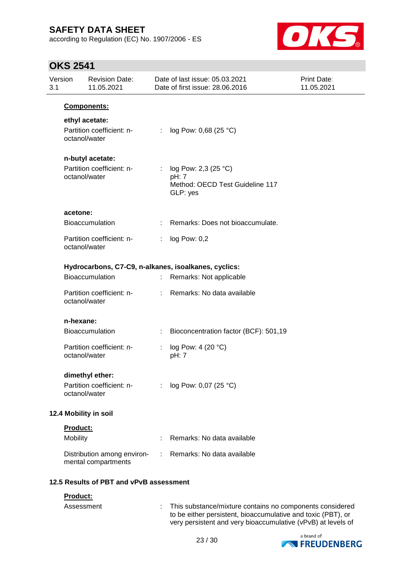according to Regulation (EC) No. 1907/2006 - ES



### **OKS 2541**

| 3.1 | Version<br><b>Revision Date:</b><br>11.05.2021                 |            | Date of last issue: 05.03.2021<br>Date of first issue: 28.06.2016            |  |  |
|-----|----------------------------------------------------------------|------------|------------------------------------------------------------------------------|--|--|
|     | Components:                                                    |            |                                                                              |  |  |
|     | ethyl acetate:<br>Partition coefficient: n-<br>octanol/water   |            | log Pow: 0,68 (25 °C)                                                        |  |  |
|     | n-butyl acetate:<br>Partition coefficient: n-<br>octanol/water |            | log Pow: 2,3 (25 °C)<br>pH: 7<br>Method: OECD Test Guideline 117<br>GLP: yes |  |  |
|     | acetone:                                                       |            |                                                                              |  |  |
|     | <b>Bioaccumulation</b>                                         |            | Remarks: Does not bioaccumulate.                                             |  |  |
|     | Partition coefficient: n-<br>octanol/water                     |            | log Pow: 0,2                                                                 |  |  |
|     | Hydrocarbons, C7-C9, n-alkanes, isoalkanes, cyclics:           |            |                                                                              |  |  |
|     | <b>Bioaccumulation</b>                                         | ÷.         | Remarks: Not applicable                                                      |  |  |
|     | Partition coefficient: n-<br>octanol/water                     | ÷.         | Remarks: No data available                                                   |  |  |
|     | n-hexane:                                                      |            |                                                                              |  |  |
|     | <b>Bioaccumulation</b>                                         | ÷          | Bioconcentration factor (BCF): 501,19                                        |  |  |
|     | Partition coefficient: n-<br>octanol/water                     | ÷<br>pH: 7 | log Pow: 4 (20 °C)                                                           |  |  |
|     | dimethyl ether:<br>Partition coefficient: n-<br>octanol/water  |            | log Pow: 0,07 (25 °C)                                                        |  |  |
|     | 12.4 Mobility in soil                                          |            |                                                                              |  |  |
|     | Product:                                                       |            |                                                                              |  |  |
|     | Mobility                                                       |            | Remarks: No data available                                                   |  |  |
|     | Distribution among environ-<br>mental compartments             |            | Remarks: No data available                                                   |  |  |
|     | 12.5 Results of PBT and vPvB assessment                        |            |                                                                              |  |  |
|     | Product:                                                       |            |                                                                              |  |  |
|     | Assessment                                                     | ÷.         | This substance/mixture contains no components considered                     |  |  |



to be either persistent, bioaccumulative and toxic (PBT), or very persistent and very bioaccumulative (vPvB) at levels of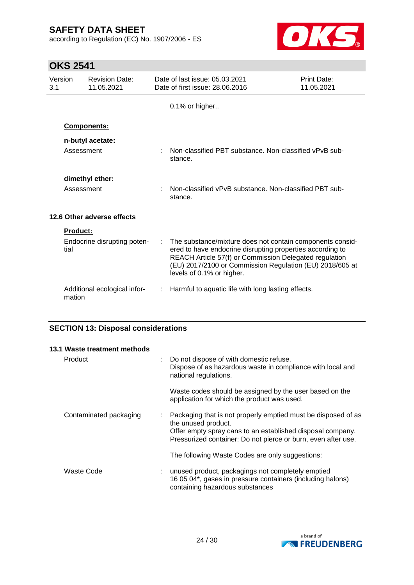according to Regulation (EC) No. 1907/2006 - ES



### **OKS 2541**

| Version<br>3.1 |                 | <b>Revision Date:</b><br>11.05.2021                               | Date of last issue: 05.03.2021<br>Date of first issue: 28.06.2016                                                                                                                                                                                                         | <b>Print Date:</b><br>11.05.2021 |
|----------------|-----------------|-------------------------------------------------------------------|---------------------------------------------------------------------------------------------------------------------------------------------------------------------------------------------------------------------------------------------------------------------------|----------------------------------|
|                |                 |                                                                   | 0.1% or higher                                                                                                                                                                                                                                                            |                                  |
|                |                 | Components:                                                       |                                                                                                                                                                                                                                                                           |                                  |
|                | Assessment      | n-butyl acetate:                                                  | : Non-classified PBT substance. Non-classified vPvB sub-<br>stance.                                                                                                                                                                                                       |                                  |
|                |                 | dimethyl ether:                                                   |                                                                                                                                                                                                                                                                           |                                  |
| Assessment     |                 | Non-classified vPvB substance. Non-classified PBT sub-<br>stance. |                                                                                                                                                                                                                                                                           |                                  |
|                |                 | 12.6 Other adverse effects                                        |                                                                                                                                                                                                                                                                           |                                  |
|                | <b>Product:</b> |                                                                   |                                                                                                                                                                                                                                                                           |                                  |
|                | tial            | Endocrine disrupting poten-                                       | The substance/mixture does not contain components consid-<br>ered to have endocrine disrupting properties according to<br>REACH Article 57(f) or Commission Delegated regulation<br>(EU) 2017/2100 or Commission Regulation (EU) 2018/605 at<br>levels of 0.1% or higher. |                                  |
|                | mation          | Additional ecological infor-                                      | Harmful to aquatic life with long lasting effects.                                                                                                                                                                                                                        |                                  |

#### **SECTION 13: Disposal considerations**

| 13.1 Waste treatment methods |   |                                                                                                                                                                                                                     |  |  |  |
|------------------------------|---|---------------------------------------------------------------------------------------------------------------------------------------------------------------------------------------------------------------------|--|--|--|
| Product                      | ÷ | Do not dispose of with domestic refuse.<br>Dispose of as hazardous waste in compliance with local and<br>national regulations.                                                                                      |  |  |  |
|                              |   | Waste codes should be assigned by the user based on the<br>application for which the product was used.                                                                                                              |  |  |  |
| Contaminated packaging       |   | Packaging that is not properly emptied must be disposed of as<br>the unused product.<br>Offer empty spray cans to an established disposal company.<br>Pressurized container: Do not pierce or burn, even after use. |  |  |  |
|                              |   | The following Waste Codes are only suggestions:                                                                                                                                                                     |  |  |  |
| Waste Code                   | ÷ | unused product, packagings not completely emptied<br>16 05 04*, gases in pressure containers (including halons)<br>containing hazardous substances                                                                  |  |  |  |

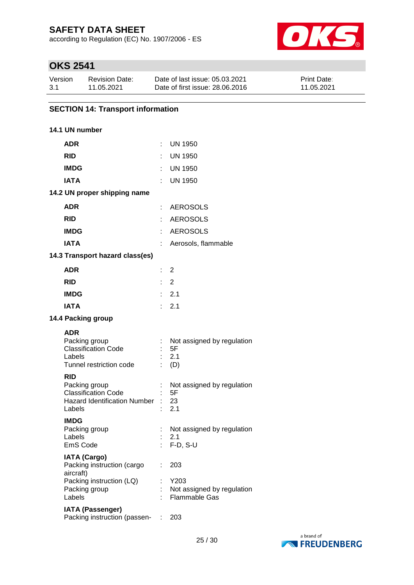according to Regulation (EC) No. 1907/2006 - ES



### **OKS 2541**

| Version | <b>Revision Date:</b> | Date of last issue: 05.03.2021  | <b>Print Date:</b> |
|---------|-----------------------|---------------------------------|--------------------|
| 3.1     | 11.05.2021            | Date of first issue: 28,06,2016 | 11.05.2021         |

### **SECTION 14: Transport information**

#### **14.1 UN number**

| <b>ADR</b>                                                                                                 | ÷. | <b>UN 1950</b>                                            |
|------------------------------------------------------------------------------------------------------------|----|-----------------------------------------------------------|
| <b>RID</b>                                                                                                 |    | <b>UN 1950</b>                                            |
| <b>IMDG</b>                                                                                                |    | <b>UN 1950</b>                                            |
| <b>IATA</b>                                                                                                |    | <b>UN 1950</b>                                            |
| 14.2 UN proper shipping name                                                                               |    |                                                           |
| <b>ADR</b>                                                                                                 |    | <b>AEROSOLS</b>                                           |
| <b>RID</b>                                                                                                 | t. | <b>AEROSOLS</b>                                           |
| <b>IMDG</b>                                                                                                | ÷  | <b>AEROSOLS</b>                                           |
| <b>IATA</b>                                                                                                |    | Aerosols, flammable                                       |
| 14.3 Transport hazard class(es)                                                                            |    |                                                           |
| <b>ADR</b>                                                                                                 |    | $\therefore$ 2                                            |
| <b>RID</b>                                                                                                 |    | $\therefore$ 2                                            |
| <b>IMDG</b>                                                                                                |    | $\therefore$ 2.1                                          |
| <b>IATA</b>                                                                                                |    | 2.1                                                       |
| 14.4 Packing group                                                                                         |    |                                                           |
| <b>ADR</b><br>Packing group<br><b>Classification Code</b><br>Labels<br>Tunnel restriction code             |    | : Not assigned by regulation<br>5F<br>2.1<br>$\colon$ (D) |
| <b>RID</b><br>Packing group<br><b>Classification Code</b><br><b>Hazard Identification Number</b><br>Labels |    | Not assigned by regulation<br>5F<br>23<br>2.1             |
| <b>IMDG</b><br>Packing group<br>Labels<br>EmS Code                                                         |    | Not assigned by regulation<br>2.1<br>$F-D$ , S-U          |
| <b>IATA (Cargo)</b><br>Packing instruction (cargo<br>aircraft)                                             |    | 203                                                       |
| Packing instruction (LQ)<br>Packing group<br>Labels                                                        |    | Y203<br>Not assigned by regulation<br>Flammable Gas       |
| <b>IATA (Passenger)</b><br>Packing instruction (passen-                                                    |    | 203                                                       |
|                                                                                                            |    |                                                           |

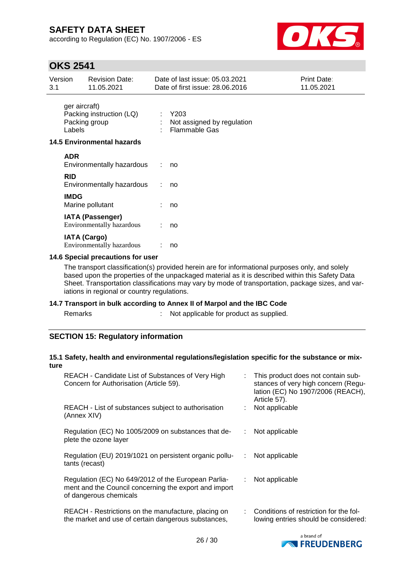according to Regulation (EC) No. 1907/2006 - ES



### **OKS 2541**

| Version<br>3.1 |                         | <b>Revision Date:</b><br>11.05.2021                  |    | Date of last issue: 05.03.2021<br>Date of first issue: 28.06.2016 | <b>Print Date:</b><br>11.05.2021 |
|----------------|-------------------------|------------------------------------------------------|----|-------------------------------------------------------------------|----------------------------------|
|                | ger aircraft)<br>Labels | Packing instruction (LQ)<br>Packing group            | ÷  | Y203<br>Not assigned by regulation<br><b>Flammable Gas</b>        |                                  |
|                |                         | <b>14.5 Environmental hazards</b>                    |    |                                                                   |                                  |
|                | <b>ADR</b>              | Environmentally hazardous                            | ÷. | no                                                                |                                  |
|                | <b>RID</b>              | Environmentally hazardous                            |    | no                                                                |                                  |
|                | <b>IMDG</b>             | Marine pollutant                                     |    | no                                                                |                                  |
|                |                         | <b>IATA (Passenger)</b><br>Environmentally hazardous |    | no                                                                |                                  |
|                |                         | <b>IATA (Cargo)</b><br>Environmentally hazardous     |    | no                                                                |                                  |

#### **14.6 Special precautions for user**

The transport classification(s) provided herein are for informational purposes only, and solely based upon the properties of the unpackaged material as it is described within this Safety Data Sheet. Transportation classifications may vary by mode of transportation, package sizes, and variations in regional or country regulations.

#### **14.7 Transport in bulk according to Annex II of Marpol and the IBC Code**

Remarks : Not applicable for product as supplied.

#### **SECTION 15: Regulatory information**

#### **15.1 Safety, health and environmental regulations/legislation specific for the substance or mixture**

| REACH - Candidate List of Substances of Very High<br>Concern for Authorisation (Article 59).                                           |   | : This product does not contain sub-<br>stances of very high concern (Regu-<br>lation (EC) No 1907/2006 (REACH),<br>Article 57). |
|----------------------------------------------------------------------------------------------------------------------------------------|---|----------------------------------------------------------------------------------------------------------------------------------|
| REACH - List of substances subject to authorisation<br>(Annex XIV)                                                                     |   | Not applicable                                                                                                                   |
| Regulation (EC) No 1005/2009 on substances that de-<br>plete the ozone layer                                                           |   | Not applicable                                                                                                                   |
| Regulation (EU) 2019/1021 on persistent organic pollu-<br>tants (recast)                                                               | ÷ | Not applicable                                                                                                                   |
| Regulation (EC) No 649/2012 of the European Parlia-<br>ment and the Council concerning the export and import<br>of dangerous chemicals | ÷ | Not applicable                                                                                                                   |
| REACH - Restrictions on the manufacture, placing on<br>the market and use of certain dangerous substances,                             |   | : Conditions of restriction for the fol-<br>lowing entries should be considered:                                                 |

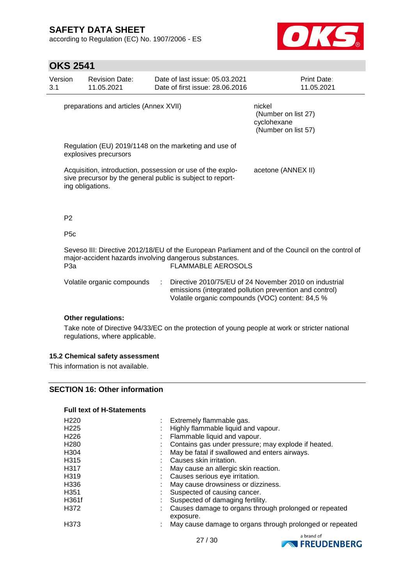according to Regulation (EC) No. 1907/2006 - ES



### **OKS 2541**

| Version<br>3.1   | <b>Revision Date:</b><br>11.05.2021    | Date of last issue: 05.03.2021<br>Date of first issue: 28.06.2016                                                        | Print Date:<br>11.05.2021                                                                        |
|------------------|----------------------------------------|--------------------------------------------------------------------------------------------------------------------------|--------------------------------------------------------------------------------------------------|
|                  | preparations and articles (Annex XVII) | nickel<br>(Number on list 27)<br>cyclohexane<br>(Number on list 57)                                                      |                                                                                                  |
|                  | explosives precursors                  | Regulation (EU) 2019/1148 on the marketing and use of                                                                    |                                                                                                  |
|                  | ing obligations.                       | Acquisition, introduction, possession or use of the explo-<br>sive precursor by the general public is subject to report- | acetone (ANNEX II)                                                                               |
| P <sub>2</sub>   |                                        |                                                                                                                          |                                                                                                  |
| P <sub>5</sub> c |                                        |                                                                                                                          |                                                                                                  |
|                  |                                        |                                                                                                                          | Severalll: Directive 2012/18/ELL of the European Parliament and of the Council on the control of |

Seveso III: Directive 2012/18/EU of the European Parliament and of the Council on the control of major-accident hazards involving dangerous substances. P3a **FLAMMABLE AEROSOLS** 

| Volatile organic compounds | Directive 2010/75/EU of 24 November 2010 on industrial  |
|----------------------------|---------------------------------------------------------|
|                            | emissions (integrated pollution prevention and control) |
|                            | Volatile organic compounds (VOC) content: 84,5 %        |

#### **Other regulations:**

Take note of Directive 94/33/EC on the protection of young people at work or stricter national regulations, where applicable.

#### **15.2 Chemical safety assessment**

This information is not available.

#### **SECTION 16: Other information**

#### **Full text of H-Statements**

| H <sub>220</sub> |         | Extremely flammable gas.                                           |
|------------------|---------|--------------------------------------------------------------------|
| H <sub>225</sub> | ٠<br>×. | Highly flammable liquid and vapour.                                |
| H <sub>226</sub> |         | Flammable liquid and vapour.                                       |
| H <sub>280</sub> |         | Contains gas under pressure; may explode if heated.                |
| H304             |         | May be fatal if swallowed and enters airways.                      |
| H315             |         | Causes skin irritation.                                            |
| H317             |         | May cause an allergic skin reaction.                               |
| H319             |         | Causes serious eye irritation.                                     |
| H336             | ٠       | May cause drowsiness or dizziness.                                 |
| H <sub>351</sub> |         | Suspected of causing cancer.                                       |
| H361f            |         | Suspected of damaging fertility.                                   |
| H372             | ٠       | Causes damage to organs through prolonged or repeated<br>exposure. |
| H373             |         | May cause damage to organs through prolonged or repeated           |

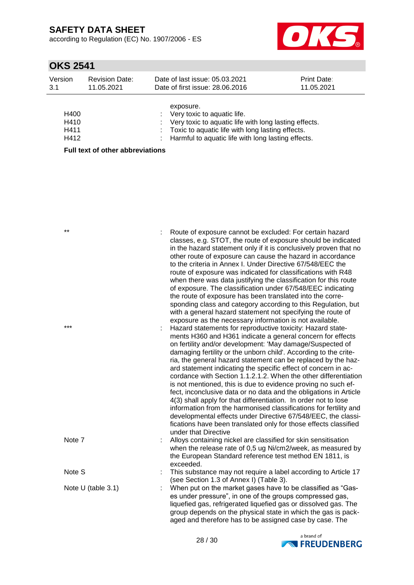according to Regulation (EC) No. 1907/2006 - ES



## **OKS 2541**

| Version<br>3.1 | <b>Revision Date:</b><br>11.05.2021 | Date of last issue: 05.03.2021<br>Date of first issue: 28.06.2016 | <b>Print Date:</b><br>11.05.2021 |
|----------------|-------------------------------------|-------------------------------------------------------------------|----------------------------------|
|                |                                     | exposure.                                                         |                                  |
| H400           |                                     | : Very toxic to aquatic life.                                     |                                  |
| H410           |                                     | : Very toxic to aquatic life with long lasting effects.           |                                  |
| H411           |                                     | : Toxic to aquatic life with long lasting effects.                |                                  |
| H412           |                                     | : Harmful to aquatic life with long lasting effects.              |                                  |
|                | Euli tayt of other ehhraviotione    |                                                                   |                                  |

**Full text of other abbreviations**

| $***$<br>$***$     | Route of exposure cannot be excluded: For certain hazard<br>classes, e.g. STOT, the route of exposure should be indicated<br>in the hazard statement only if it is conclusively proven that no<br>other route of exposure can cause the hazard in accordance<br>to the criteria in Annex I. Under Directive 67/548/EEC the<br>route of exposure was indicated for classifications with R48<br>when there was data justifying the classification for this route<br>of exposure. The classification under 67/548/EEC indicating<br>the route of exposure has been translated into the corre-<br>sponding class and category according to this Regulation, but<br>with a general hazard statement not specifying the route of<br>exposure as the necessary information is not available.<br>Hazard statements for reproductive toxicity: Hazard state-<br>ments H360 and H361 indicate a general concern for effects<br>on fertility and/or development: 'May damage/Suspected of<br>damaging fertility or the unborn child'. According to the crite-<br>ria, the general hazard statement can be replaced by the haz-<br>ard statement indicating the specific effect of concern in ac-<br>cordance with Section 1.1.2.1.2. When the other differentiation<br>is not mentioned, this is due to evidence proving no such ef-<br>fect, inconclusive data or no data and the obligations in Article<br>4(3) shall apply for that differentiation. In order not to lose<br>information from the harmonised classifications for fertility and<br>developmental effects under Directive 67/548/EEC, the classi-<br>fications have been translated only for those effects classified<br>under that Directive |
|--------------------|-----------------------------------------------------------------------------------------------------------------------------------------------------------------------------------------------------------------------------------------------------------------------------------------------------------------------------------------------------------------------------------------------------------------------------------------------------------------------------------------------------------------------------------------------------------------------------------------------------------------------------------------------------------------------------------------------------------------------------------------------------------------------------------------------------------------------------------------------------------------------------------------------------------------------------------------------------------------------------------------------------------------------------------------------------------------------------------------------------------------------------------------------------------------------------------------------------------------------------------------------------------------------------------------------------------------------------------------------------------------------------------------------------------------------------------------------------------------------------------------------------------------------------------------------------------------------------------------------------------------------------------------------------------------------------------------------------|
| Note 7             | Alloys containing nickel are classified for skin sensitisation<br>when the release rate of 0,5 ug Ni/cm2/week, as measured by<br>the European Standard reference test method EN 1811, is<br>exceeded.                                                                                                                                                                                                                                                                                                                                                                                                                                                                                                                                                                                                                                                                                                                                                                                                                                                                                                                                                                                                                                                                                                                                                                                                                                                                                                                                                                                                                                                                                               |
| Note S             | This substance may not require a label according to Article 17<br>(see Section 1.3 of Annex I) (Table 3).                                                                                                                                                                                                                                                                                                                                                                                                                                                                                                                                                                                                                                                                                                                                                                                                                                                                                                                                                                                                                                                                                                                                                                                                                                                                                                                                                                                                                                                                                                                                                                                           |
| Note U (table 3.1) | When put on the market gases have to be classified as "Gas-<br>es under pressure", in one of the groups compressed gas,<br>liquefied gas, refrigerated liquefied gas or dissolved gas. The<br>group depends on the physical state in which the gas is pack-<br>aged and therefore has to be assigned case by case. The                                                                                                                                                                                                                                                                                                                                                                                                                                                                                                                                                                                                                                                                                                                                                                                                                                                                                                                                                                                                                                                                                                                                                                                                                                                                                                                                                                              |

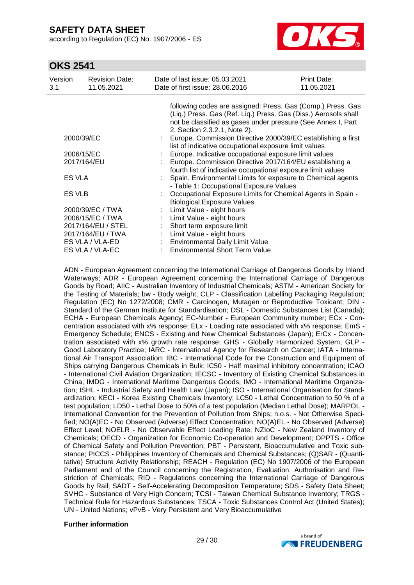according to Regulation (EC) No. 1907/2006 - ES



### **OKS 2541**

| Version<br>3.1  | <b>Revision Date:</b><br>11.05.2021 | Date of last issue: 05.03.2021<br>Date of first issue: 28,06,2016 | Print Date:<br>11.05.2021 |
|-----------------|-------------------------------------|-------------------------------------------------------------------|---------------------------|
|                 |                                     | following codes are assigned: Press. Gas (Comp.) Press. Gas       |                           |
|                 |                                     | (Liq.) Press. Gas (Ref. Liq.) Press. Gas (Diss.) Aerosols shall   |                           |
|                 |                                     | not be classified as gases under pressure (See Annex I, Part      |                           |
|                 |                                     | 2, Section 2.3.2.1, Note 2).                                      |                           |
| 2000/39/EC      |                                     | Europe. Commission Directive 2000/39/EC establishing a first      |                           |
|                 |                                     | list of indicative occupational exposure limit values             |                           |
|                 | 2006/15/EC                          | Europe. Indicative occupational exposure limit values             |                           |
| 2017/164/EU     |                                     | Europe. Commission Directive 2017/164/EU establishing a           |                           |
|                 |                                     | fourth list of indicative occupational exposure limit values      |                           |
| <b>ES VLA</b>   |                                     | Spain. Environmental Limits for exposure to Chemical agents       |                           |
|                 |                                     | - Table 1: Occupational Exposure Values                           |                           |
| ES VLB          |                                     | Occupational Exposure Limits for Chemical Agents in Spain -       |                           |
|                 |                                     | <b>Biological Exposure Values</b>                                 |                           |
|                 | 2000/39/EC / TWA                    | Limit Value - eight hours                                         |                           |
|                 | 2006/15/EC / TWA                    | Limit Value - eight hours                                         |                           |
|                 | 2017/164/EU / STEL                  | Short term exposure limit                                         |                           |
|                 | 2017/164/EU / TWA                   | Limit Value - eight hours                                         |                           |
|                 | ES VLA / VLA-ED                     | Environmental Daily Limit Value                                   |                           |
| ES VLA / VLA-EC |                                     | <b>Environmental Short Term Value</b>                             |                           |

ADN - European Agreement concerning the International Carriage of Dangerous Goods by Inland Waterways; ADR - European Agreement concerning the International Carriage of Dangerous Goods by Road; AIIC - Australian Inventory of Industrial Chemicals; ASTM - American Society for the Testing of Materials; bw - Body weight; CLP - Classification Labelling Packaging Regulation; Regulation (EC) No 1272/2008; CMR - Carcinogen, Mutagen or Reproductive Toxicant; DIN - Standard of the German Institute for Standardisation; DSL - Domestic Substances List (Canada); ECHA - European Chemicals Agency; EC-Number - European Community number; ECx - Concentration associated with x% response; ELx - Loading rate associated with x% response; EmS - Emergency Schedule; ENCS - Existing and New Chemical Substances (Japan); ErCx - Concentration associated with x% growth rate response; GHS - Globally Harmonized System; GLP - Good Laboratory Practice; IARC - International Agency for Research on Cancer; IATA - International Air Transport Association; IBC - International Code for the Construction and Equipment of Ships carrying Dangerous Chemicals in Bulk; IC50 - Half maximal inhibitory concentration; ICAO - International Civil Aviation Organization; IECSC - Inventory of Existing Chemical Substances in China; IMDG - International Maritime Dangerous Goods; IMO - International Maritime Organization; ISHL - Industrial Safety and Health Law (Japan); ISO - International Organisation for Standardization; KECI - Korea Existing Chemicals Inventory; LC50 - Lethal Concentration to 50 % of a test population; LD50 - Lethal Dose to 50% of a test population (Median Lethal Dose); MARPOL - International Convention for the Prevention of Pollution from Ships; n.o.s. - Not Otherwise Specified; NO(A)EC - No Observed (Adverse) Effect Concentration; NO(A)EL - No Observed (Adverse) Effect Level; NOELR - No Observable Effect Loading Rate; NZIoC - New Zealand Inventory of Chemicals; OECD - Organization for Economic Co-operation and Development; OPPTS - Office of Chemical Safety and Pollution Prevention; PBT - Persistent, Bioaccumulative and Toxic substance; PICCS - Philippines Inventory of Chemicals and Chemical Substances; (Q)SAR - (Quantitative) Structure Activity Relationship; REACH - Regulation (EC) No 1907/2006 of the European Parliament and of the Council concerning the Registration, Evaluation, Authorisation and Restriction of Chemicals; RID - Regulations concerning the International Carriage of Dangerous Goods by Rail; SADT - Self-Accelerating Decomposition Temperature; SDS - Safety Data Sheet; SVHC - Substance of Very High Concern; TCSI - Taiwan Chemical Substance Inventory; TRGS - Technical Rule for Hazardous Substances; TSCA - Toxic Substances Control Act (United States); UN - United Nations; vPvB - Very Persistent and Very Bioaccumulative

#### **Further information**